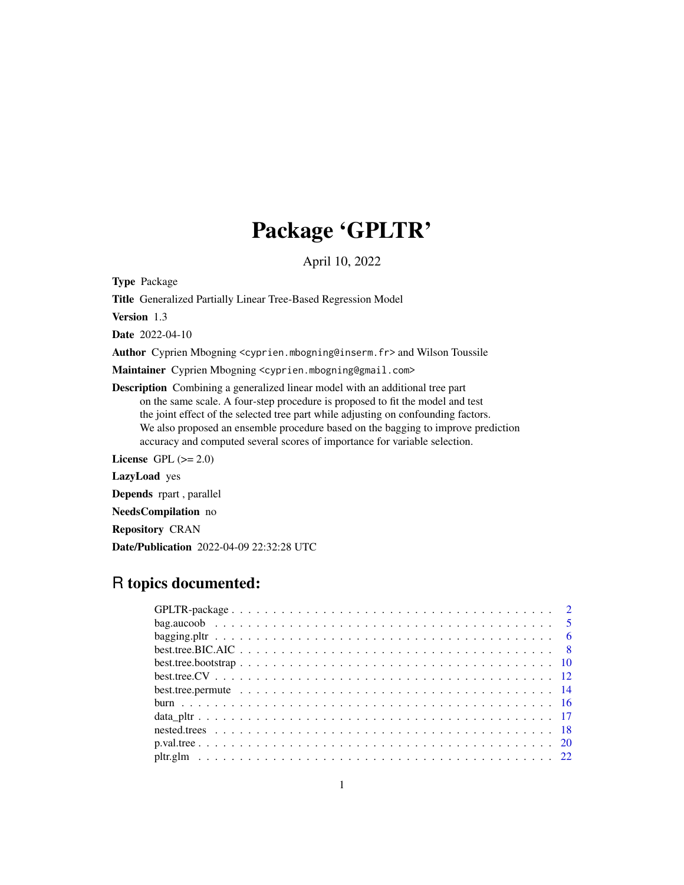# Package 'GPLTR'

April 10, 2022

<span id="page-0-0"></span>Type Package

Title Generalized Partially Linear Tree-Based Regression Model

Version 1.3

Date 2022-04-10

Author Cyprien Mbogning <cyprien.mbogning@inserm.fr> and Wilson Toussile

Maintainer Cyprien Mbogning <cyprien.mbogning@gmail.com>

Description Combining a generalized linear model with an additional tree part on the same scale. A four-step procedure is proposed to fit the model and test the joint effect of the selected tree part while adjusting on confounding factors. We also proposed an ensemble procedure based on the bagging to improve prediction accuracy and computed several scores of importance for variable selection.

License GPL  $(>= 2.0)$ 

LazyLoad yes

Depends rpart , parallel

NeedsCompilation no

Repository CRAN

Date/Publication 2022-04-09 22:32:28 UTC

## R topics documented: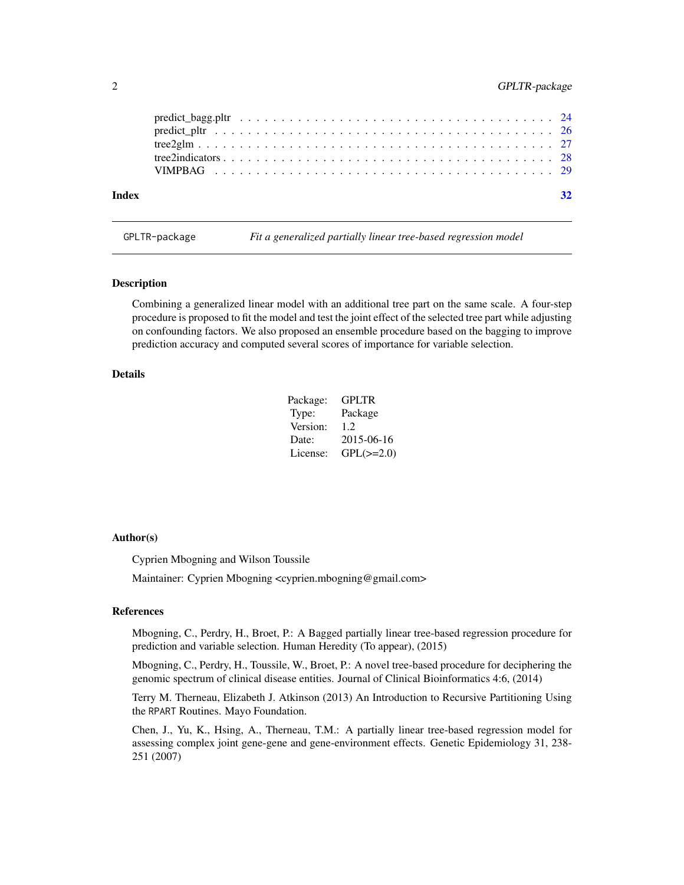<span id="page-1-0"></span>

| Index |  |  |  |  |  |  |  |  |  |  |  |  |  |  |  |  |  |
|-------|--|--|--|--|--|--|--|--|--|--|--|--|--|--|--|--|--|

GPLTR-package *Fit a generalized partially linear tree-based regression model*

### Description

Combining a generalized linear model with an additional tree part on the same scale. A four-step procedure is proposed to fit the model and test the joint effect of the selected tree part while adjusting on confounding factors. We also proposed an ensemble procedure based on the bagging to improve prediction accuracy and computed several scores of importance for variable selection.

## Details

| Package: | <b>GPLTR</b>   |
|----------|----------------|
| Type:    | Package        |
| Version: | 1.2.           |
| Date:    | 2015-06-16     |
| License: | $GPL(\ge=2.0)$ |

#### Author(s)

Cyprien Mbogning and Wilson Toussile

Maintainer: Cyprien Mbogning <cyprien.mbogning@gmail.com>

#### References

Mbogning, C., Perdry, H., Broet, P.: A Bagged partially linear tree-based regression procedure for prediction and variable selection. Human Heredity (To appear), (2015)

Mbogning, C., Perdry, H., Toussile, W., Broet, P.: A novel tree-based procedure for deciphering the genomic spectrum of clinical disease entities. Journal of Clinical Bioinformatics 4:6, (2014)

Terry M. Therneau, Elizabeth J. Atkinson (2013) An Introduction to Recursive Partitioning Using the RPART Routines. Mayo Foundation.

Chen, J., Yu, K., Hsing, A., Therneau, T.M.: A partially linear tree-based regression model for assessing complex joint gene-gene and gene-environment effects. Genetic Epidemiology 31, 238- 251 (2007)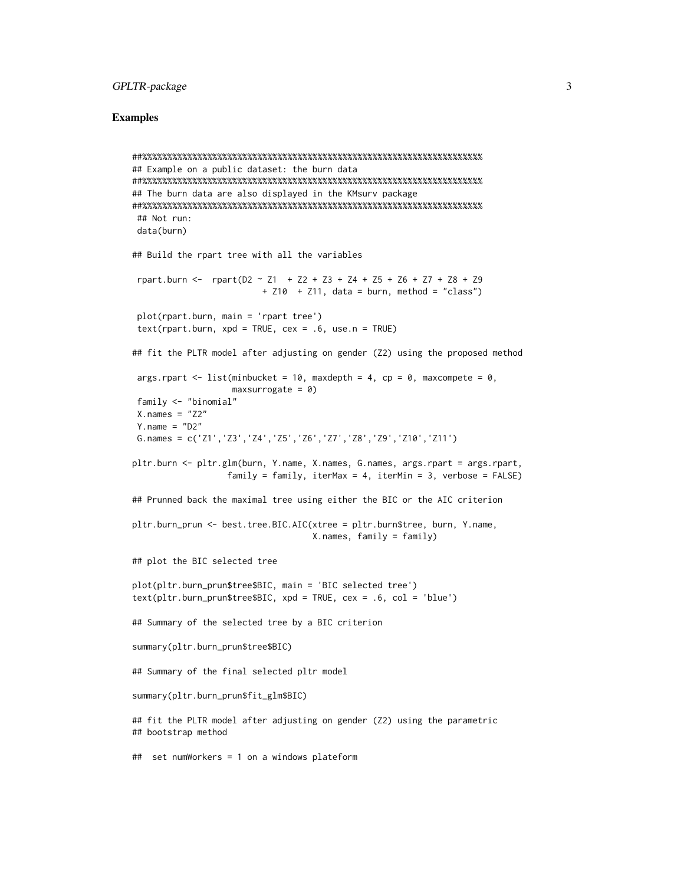## GPLTR-package 3

#### Examples

```
##%%%%%%%%%%%%%%%%%%%%%%%%%%%%%%%%%%%%%%%%%%%%%%%%%%%%%%%%%%%%%%%%%%%%
## Example on a public dataset: the burn data
##%%%%%%%%%%%%%%%%%%%%%%%%%%%%%%%%%%%%%%%%%%%%%%%%%%%%%%%%%%%%%%%%%%%%
## The burn data are also displayed in the KMsurv package
##%%%%%%%%%%%%%%%%%%%%%%%%%%%%%%%%%%%%%%%%%%%%%%%%%%%%%%%%%%%%%%%%%%%%
## Not run:
data(burn)
## Build the rpart tree with all the variables
 rpart.burn <- rpart(D2 \sim Z1 + Z2 + Z3 + Z4 + Z5 + Z6 + Z7 + Z8 + Z9+ 210 + 211, data = burn, method = "class")
plot(rpart.burn, main = 'rpart tree')
 text(rpart.burn, xpd = TRUE, cex = .6, use.n = TRUE)## fit the PLTR model after adjusting on gender (Z2) using the proposed method
args.rpart \leq - list(minbucket = 10, maxdepth = 4, cp = 0, maxcompete = 0,
                   maxsurrogate = 0)family <- "binomial"
X.nameS = "Z2"Y.name = "D2"G.names = c('Z1','Z3','Z4','Z5','Z6','Z7','Z8','Z9','Z10','Z11')
pltr.burn <- pltr.glm(burn, Y.name, X.names, G.names, args.rpart = args.rpart,
                   family = family, iterMax = 4, iterMin = 3, verbose = FALSE)
## Prunned back the maximal tree using either the BIC or the AIC criterion
pltr.burn_prun <- best.tree.BIC.AIC(xtree = pltr.burn$tree, burn, Y.name,
                                    X.names, family = family)
## plot the BIC selected tree
plot(pltr.burn_prun$tree$BIC, main = 'BIC selected tree')
text(pltr.burn_prun$tree$BIC, xpd = TRUE, cex = .6, col = 'blue')
## Summary of the selected tree by a BIC criterion
summary(pltr.burn_prun$tree$BIC)
## Summary of the final selected pltr model
summary(pltr.burn_prun$fit_glm$BIC)
## fit the PLTR model after adjusting on gender (Z2) using the parametric
## bootstrap method
## set numWorkers = 1 on a windows plateform
```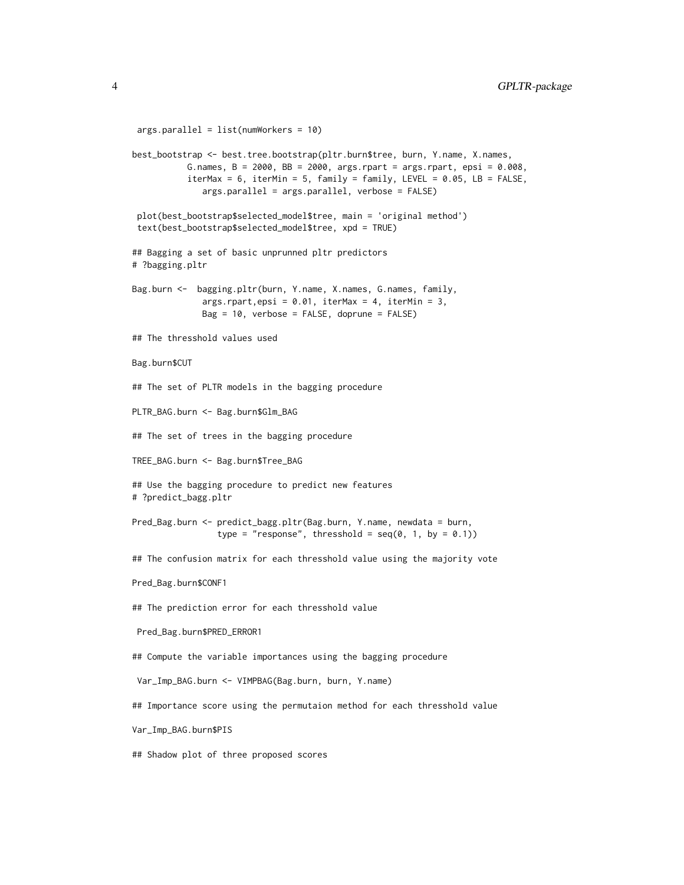```
args.parallel = list(numWorkers = 10)
best_bootstrap <- best.tree.bootstrap(pltr.burn$tree, burn, Y.name, X.names,
          G.names, B = 2000, BB = 2000, args.rpart = args.rpart, epsi = 0.008,
          iterMax = 6, iterMin = 5, family = family, LEVEL = 0.05, LB = FALSE,
              args.parallel = args.parallel, verbose = FALSE)
 plot(best_bootstrap$selected_model$tree, main = 'original method')
 text(best_bootstrap$selected_model$tree, xpd = TRUE)
## Bagging a set of basic unprunned pltr predictors
# ?bagging.pltr
Bag.burn <- bagging.pltr(burn, Y.name, X.names, G.names, family,
              args.rpart,epsi = 0.01, iterMax = 4, iterMin = 3,
             Bag = 10, verbose = FALSE, doprune = FALSE)
## The thresshold values used
Bag.burn$CUT
## The set of PLTR models in the bagging procedure
PLTR_BAG.burn <- Bag.burn$Glm_BAG
## The set of trees in the bagging procedure
TREE_BAG.burn <- Bag.burn$Tree_BAG
## Use the bagging procedure to predict new features
# ?predict_bagg.pltr
Pred_Bag.burn <- predict_bagg.pltr(Bag.burn, Y.name, newdata = burn,
                 type = "response", thresshold = seq(0, 1, by = 0.1))
## The confusion matrix for each thresshold value using the majority vote
Pred_Bag.burn$CONF1
## The prediction error for each thresshold value
Pred_Bag.burn$PRED_ERROR1
## Compute the variable importances using the bagging procedure
Var_Imp_BAG.burn <- VIMPBAG(Bag.burn, burn, Y.name)
## Importance score using the permutaion method for each thresshold value
Var_Imp_BAG.burn$PIS
## Shadow plot of three proposed scores
```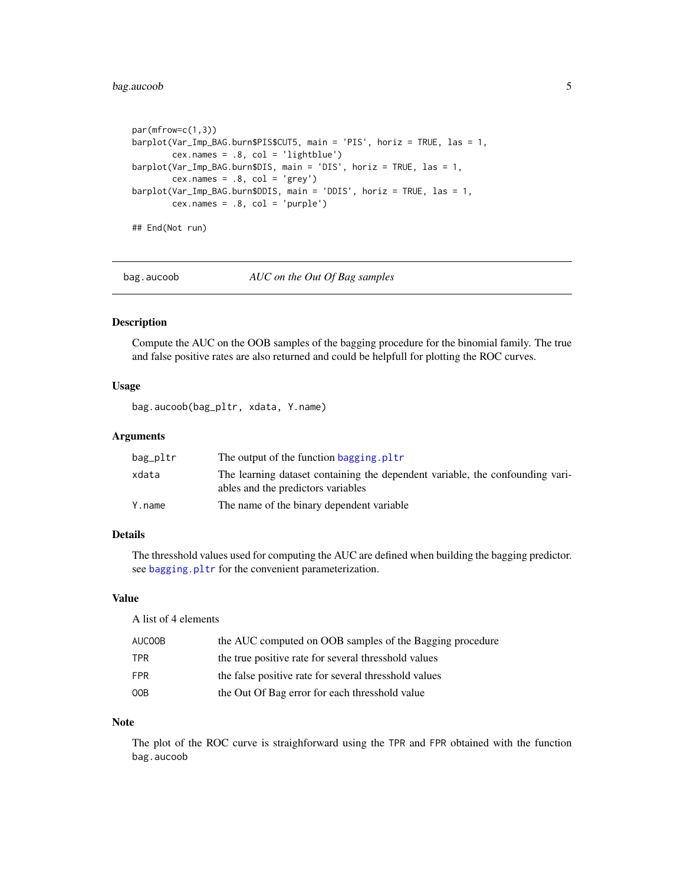## <span id="page-4-0"></span>bag.aucoob 5

```
par(mfrow=c(1,3))
barplot(Var_Imp_BAG.burn$PIS$CUT5, main = 'PIS', horiz = TRUE, las = 1,
       cex.names = .8, col = 'lightblue')barplot(Var_Imp_BAG.burn$DIS, main = 'DIS', horiz = TRUE, las = 1,
       cex.names = .8, col = 'grey')barplot(Var_Imp_BAG.burn$DDIS, main = 'DDIS', horiz = TRUE, las = 1,
       cex.name = .8, col = 'purple')## End(Not run)
```
bag.aucoob *AUC on the Out Of Bag samples*

## Description

Compute the AUC on the OOB samples of the bagging procedure for the binomial family. The true and false positive rates are also returned and could be helpfull for plotting the ROC curves.

## Usage

bag.aucoob(bag\_pltr, xdata, Y.name)

## Arguments

| bag_pltr | The output of the function bagging. pltr                                                                            |
|----------|---------------------------------------------------------------------------------------------------------------------|
| xdata    | The learning dataset containing the dependent variable, the confounding vari-<br>ables and the predictors variables |
| Y.name   | The name of the binary dependent variable                                                                           |

## Details

The thresshold values used for computing the AUC are defined when building the bagging predictor. see [bagging.pltr](#page-5-1) for the convenient parameterization.

#### Value

A list of 4 elements

| AUCOOB     | the AUC computed on OOB samples of the Bagging procedure |
|------------|----------------------------------------------------------|
| TPR.       | the true positive rate for several thresshold values     |
| <b>FPR</b> | the false positive rate for several thresshold values    |
| 00B        | the Out Of Bag error for each thresshold value           |

#### Note

The plot of the ROC curve is straighforward using the TPR and FPR obtained with the function bag.aucoob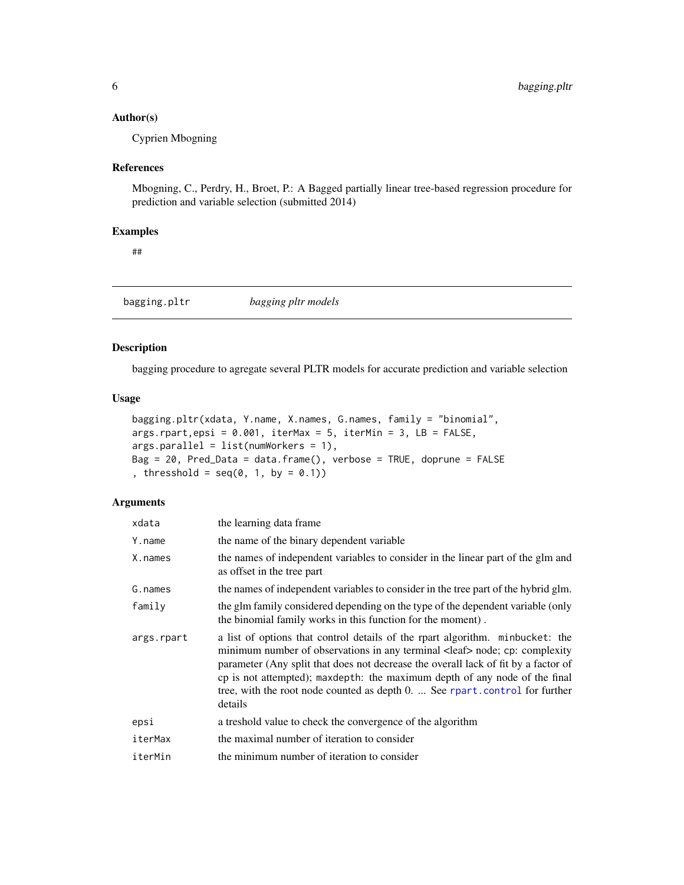## <span id="page-5-0"></span>Author(s)

Cyprien Mbogning

## References

Mbogning, C., Perdry, H., Broet, P.: A Bagged partially linear tree-based regression procedure for prediction and variable selection (submitted 2014)

#### Examples

##

<span id="page-5-1"></span>bagging.pltr *bagging pltr models*

## Description

bagging procedure to agregate several PLTR models for accurate prediction and variable selection

#### Usage

```
bagging.pltr(xdata, Y.name, X.names, G.names, family = "binomial",
args.rpart,epsi = 0.001, iterMax = 5, iterMin = 3, LB = FALSE,
args.parallel = list(numWorks = 1),Bag = 20, Pred_Data = data.frame(), verbose = TRUE, doprune = FALSE
, thresshold = seq(0, 1, by = 0.1)
```
#### Arguments

| xdata      | the learning data frame.                                                                                                                                                                                                                                                                                                                                                                                                             |
|------------|--------------------------------------------------------------------------------------------------------------------------------------------------------------------------------------------------------------------------------------------------------------------------------------------------------------------------------------------------------------------------------------------------------------------------------------|
| Y.name     | the name of the binary dependent variable                                                                                                                                                                                                                                                                                                                                                                                            |
| X.names    | the names of independent variables to consider in the linear part of the glm and<br>as offset in the tree part                                                                                                                                                                                                                                                                                                                       |
| G.names    | the names of independent variables to consider in the tree part of the hybrid glm.                                                                                                                                                                                                                                                                                                                                                   |
| family     | the glm family considered depending on the type of the dependent variable (only<br>the binomial family works in this function for the moment).                                                                                                                                                                                                                                                                                       |
| args.rpart | a list of options that control details of the rpart algorithm. minbucket: the<br>minimum number of observations in any terminal <leaf> node; cp: complexity<br/>parameter (Any split that does not decrease the overall lack of fit by a factor of<br/>cp is not attempted); maxdepth: the maximum depth of any node of the final<br/>tree, with the root node counted as depth 0.  See rpart.control for further<br/>details</leaf> |
| epsi       | a treshold value to check the convergence of the algorithm                                                                                                                                                                                                                                                                                                                                                                           |
| iterMax    | the maximal number of iteration to consider                                                                                                                                                                                                                                                                                                                                                                                          |
| iterMin    | the minimum number of iteration to consider                                                                                                                                                                                                                                                                                                                                                                                          |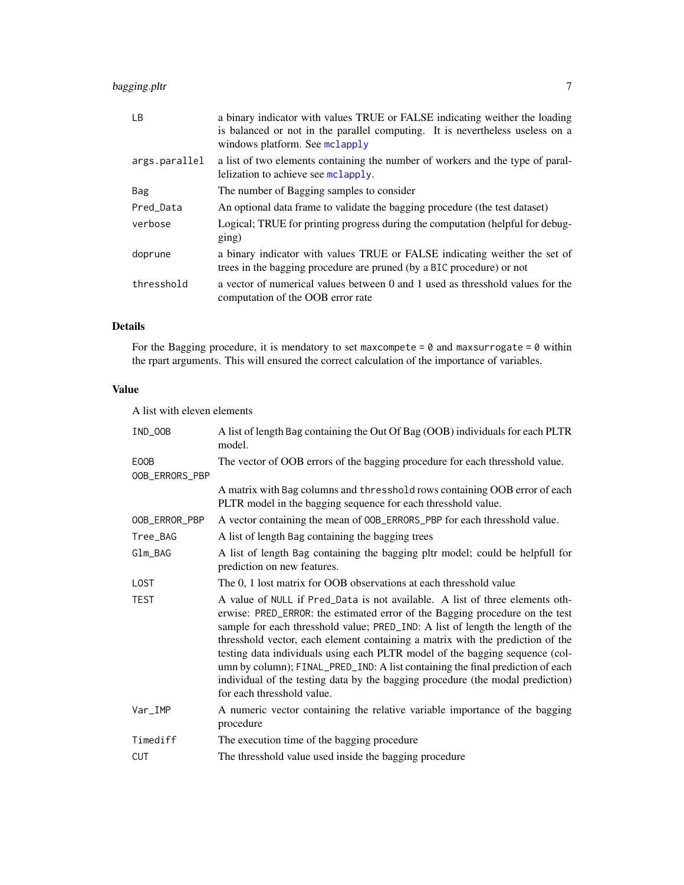## <span id="page-6-0"></span>bagging.pltr 7

| LB.           | a binary indicator with values TRUE or FALSE indicating weither the loading<br>is balanced or not in the parallel computing. It is nevertheless useless on a<br>windows platform. See mclapply |
|---------------|------------------------------------------------------------------------------------------------------------------------------------------------------------------------------------------------|
| args.parallel | a list of two elements containing the number of workers and the type of paral-<br>lelization to achieve see mclapply.                                                                          |
| Bag           | The number of Bagging samples to consider                                                                                                                                                      |
| Pred Data     | An optional data frame to validate the bagging procedure (the test dataset)                                                                                                                    |
| verbose       | Logical; TRUE for printing progress during the computation (helpful for debug-<br>$\text{ging}$ )                                                                                              |
| doprune       | a binary indicator with values TRUE or FALSE indicating weither the set of<br>trees in the bagging procedure are pruned (by a BIC procedure) or not                                            |
| thresshold    | a vector of numerical values between 0 and 1 used as thresshold values for the<br>computation of the OOB error rate                                                                            |

## Details

For the Bagging procedure, it is mendatory to set maxcompete =  $0$  and maxsurrogate =  $0$  within the rpart arguments. This will ensured the correct calculation of the importance of variables.

## Value

A list with eleven elements

| IND_OOB                | A list of length Bag containing the Out Of Bag (OOB) individuals for each PLTR<br>model.                                                                                                                                                                                                                                                                                                                                                                                                                                                                                                                           |
|------------------------|--------------------------------------------------------------------------------------------------------------------------------------------------------------------------------------------------------------------------------------------------------------------------------------------------------------------------------------------------------------------------------------------------------------------------------------------------------------------------------------------------------------------------------------------------------------------------------------------------------------------|
| E00B<br>OOB_ERRORS_PBP | The vector of OOB errors of the bagging procedure for each thresshold value.                                                                                                                                                                                                                                                                                                                                                                                                                                                                                                                                       |
|                        | A matrix with Bag columns and thresshold rows containing OOB error of each<br>PLTR model in the bagging sequence for each thresshold value.                                                                                                                                                                                                                                                                                                                                                                                                                                                                        |
| OOB_ERROR_PBP          | A vector containing the mean of OOB_ERRORS_PBP for each thresshold value.                                                                                                                                                                                                                                                                                                                                                                                                                                                                                                                                          |
| Tree_BAG               | A list of length Bag containing the bagging trees                                                                                                                                                                                                                                                                                                                                                                                                                                                                                                                                                                  |
| $Glm\_BAG$             | A list of length Bag containing the bagging pltr model; could be helpfull for<br>prediction on new features.                                                                                                                                                                                                                                                                                                                                                                                                                                                                                                       |
| <b>LOST</b>            | The 0, 1 lost matrix for OOB observations at each thresshold value                                                                                                                                                                                                                                                                                                                                                                                                                                                                                                                                                 |
| <b>TEST</b>            | A value of NULL if Pred_Data is not available. A list of three elements oth-<br>erwise: PRED_ERROR: the estimated error of the Bagging procedure on the test<br>sample for each thresshold value; PRED_IND: A list of length the length of the<br>thresshold vector, each element containing a matrix with the prediction of the<br>testing data individuals using each PLTR model of the bagging sequence (col-<br>umn by column); FINAL_PRED_IND: A list containing the final prediction of each<br>individual of the testing data by the bagging procedure (the modal prediction)<br>for each thresshold value. |
| Var_IMP                | A numeric vector containing the relative variable importance of the bagging<br>procedure                                                                                                                                                                                                                                                                                                                                                                                                                                                                                                                           |
| Timediff               | The execution time of the bagging procedure                                                                                                                                                                                                                                                                                                                                                                                                                                                                                                                                                                        |
| <b>CUT</b>             | The thresshold value used inside the bagging procedure                                                                                                                                                                                                                                                                                                                                                                                                                                                                                                                                                             |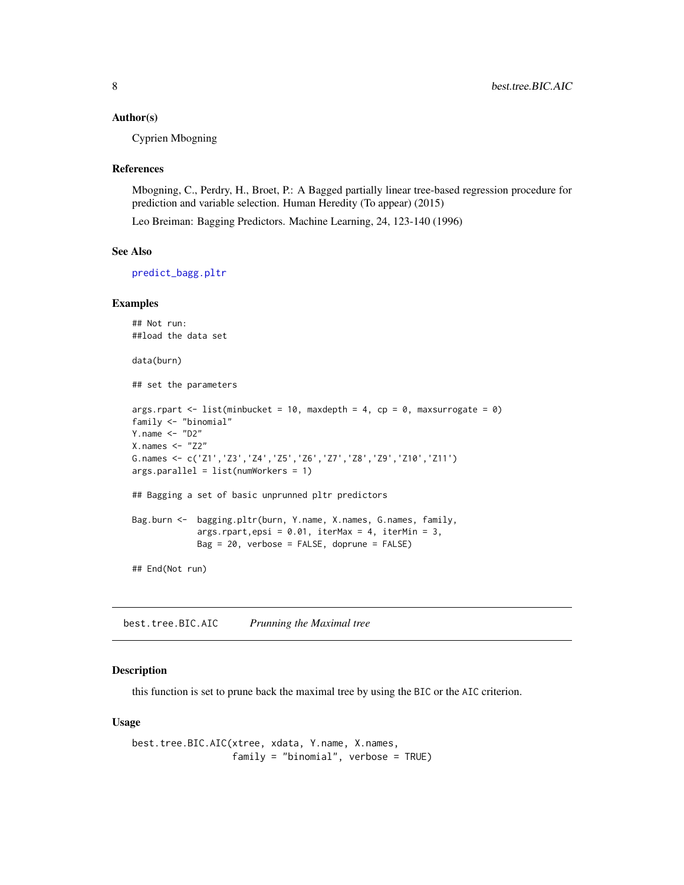#### <span id="page-7-0"></span>Author(s)

Cyprien Mbogning

#### References

Mbogning, C., Perdry, H., Broet, P.: A Bagged partially linear tree-based regression procedure for prediction and variable selection. Human Heredity (To appear) (2015)

Leo Breiman: Bagging Predictors. Machine Learning, 24, 123-140 (1996)

## See Also

[predict\\_bagg.pltr](#page-23-1)

#### Examples

```
## Not run:
##load the data set
data(burn)
## set the parameters
args.rpart <- list(minbucket = 10, maxdepth = 4, cp = 0, maxsurrogate = 0)
family <- "binomial"
Y.name \leq "D2"
X.nameS < - "Z2"
G.names <- c('Z1','Z3','Z4','Z5','Z6','Z7','Z8','Z9','Z10','Z11')
args.parallel = list(numWorkers = 1)
## Bagging a set of basic unprunned pltr predictors
Bag.burn <- bagging.pltr(burn, Y.name, X.names, G.names, family,
             args.rpart,epsi = 0.01, iterMax = 4, iterMin = 3,
             Bag = 20, verbose = FALSE, doprune = FALSE)
## End(Not run)
```
<span id="page-7-1"></span>best.tree.BIC.AIC *Prunning the Maximal tree*

## Description

this function is set to prune back the maximal tree by using the BIC or the AIC criterion.

#### Usage

```
best.tree.BIC.AIC(xtree, xdata, Y.name, X.names,
                  family = "binomial", verbose = TRUE)
```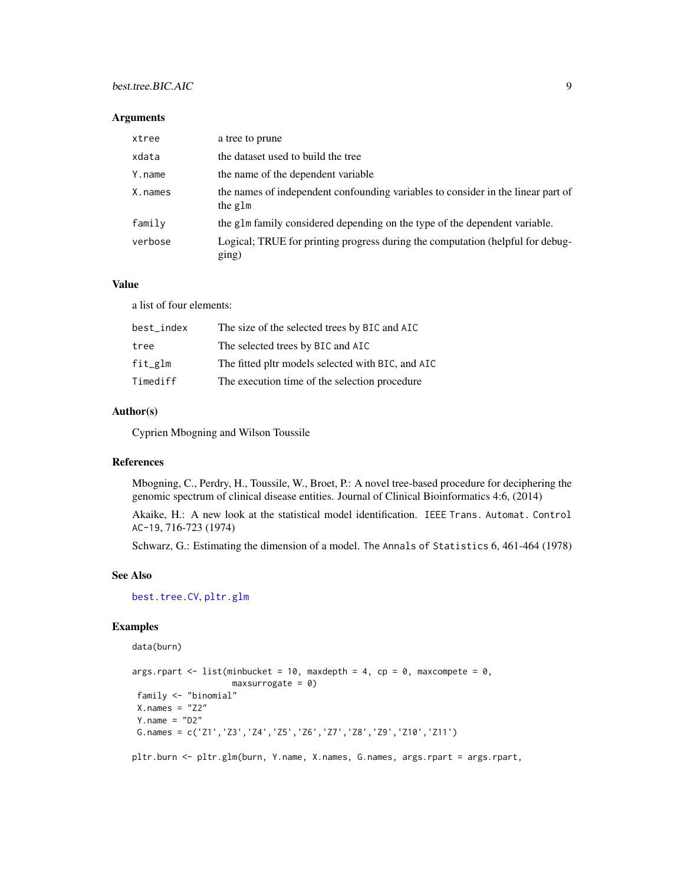## <span id="page-8-0"></span>best.tree.BIC.AIC 9

#### Arguments

| xtree   | a tree to prune                                                                             |
|---------|---------------------------------------------------------------------------------------------|
| xdata   | the dataset used to build the tree                                                          |
| Y.name  | the name of the dependent variable                                                          |
| X.names | the names of independent confounding variables to consider in the linear part of<br>the glm |
| family  | the glm family considered depending on the type of the dependent variable.                  |
| verbose | Logical; TRUE for printing progress during the computation (helpful for debug-<br>ging)     |

## Value

a list of four elements:

| best_index | The size of the selected trees by BIC and AIC     |
|------------|---------------------------------------------------|
| tree       | The selected trees by BIC and AIC                 |
| $fit\_glm$ | The fitted pltr models selected with BIC, and AIC |
| Timediff   | The execution time of the selection procedure     |

## Author(s)

Cyprien Mbogning and Wilson Toussile

#### References

Mbogning, C., Perdry, H., Toussile, W., Broet, P.: A novel tree-based procedure for deciphering the genomic spectrum of clinical disease entities. Journal of Clinical Bioinformatics 4:6, (2014)

Akaike, H.: A new look at the statistical model identification. IEEE Trans. Automat. Control AC-19, 716-723 (1974)

Schwarz, G.: Estimating the dimension of a model. The Annals of Statistics 6, 461-464 (1978)

#### See Also

[best.tree.CV](#page-11-1), [pltr.glm](#page-21-1)

## Examples

```
data(burn)
args.rpart <- list(minbucket = 10, maxdepth = 4, cp = 0, maxcompete = 0,
                   maxsurrogate = 0)family <- "binomial"
 X.names = "Z2"Y.name = "D2"G.names = c('Z1','Z3','Z4','Z5','Z6','Z7','Z8','Z9','Z10','Z11')
pltr.burn <- pltr.glm(burn, Y.name, X.names, G.names, args.rpart = args.rpart,
```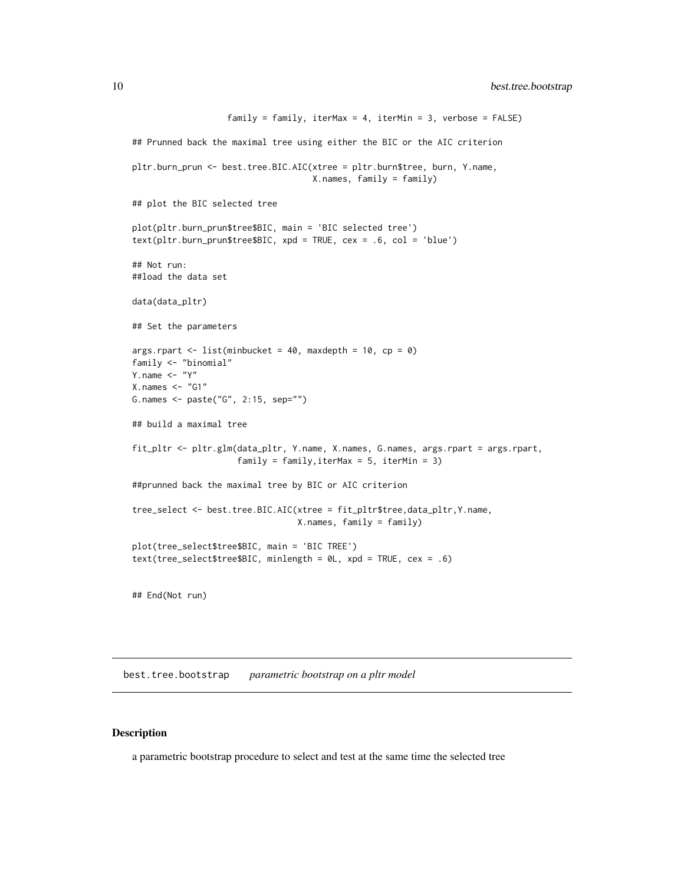```
family = family, iterMax = 4, iterMin = 3, verbose = FALSE)
## Prunned back the maximal tree using either the BIC or the AIC criterion
pltr.burn_prun <- best.tree.BIC.AIC(xtree = pltr.burn$tree, burn, Y.name,
                                    X.names, family = family)
## plot the BIC selected tree
plot(pltr.burn_prun$tree$BIC, main = 'BIC selected tree')
text(pltr.burn_prun$tree$BIC, xpd = TRUE, cex = .6, col = 'blue')
## Not run:
##load the data set
data(data_pltr)
## Set the parameters
args.rpart \le list(minbucket = 40, maxdepth = 10, cp = 0)
family <- "binomial"
Y.name \leq - "Y"
X.nameS < - "G1"
G.names <- paste("G", 2:15, sep="")
## build a maximal tree
fit_pltr <- pltr.glm(data_pltr, Y.name, X.names, G.names, args.rpart = args.rpart,
                     family = family,iterMax = 5, iterMin = 3)
##prunned back the maximal tree by BIC or AIC criterion
tree_select <- best.tree.BIC.AIC(xtree = fit_pltr$tree,data_pltr,Y.name,
                                 X.names, family = family)
plot(tree_select$tree$BIC, main = 'BIC TREE')
text(tree_select$tree$BIC, minlength = 0L, xpd = TRUE, cex = .6)
```
## End(Not run)

<span id="page-9-1"></span>best.tree.bootstrap *parametric bootstrap on a pltr model*

#### Description

a parametric bootstrap procedure to select and test at the same time the selected tree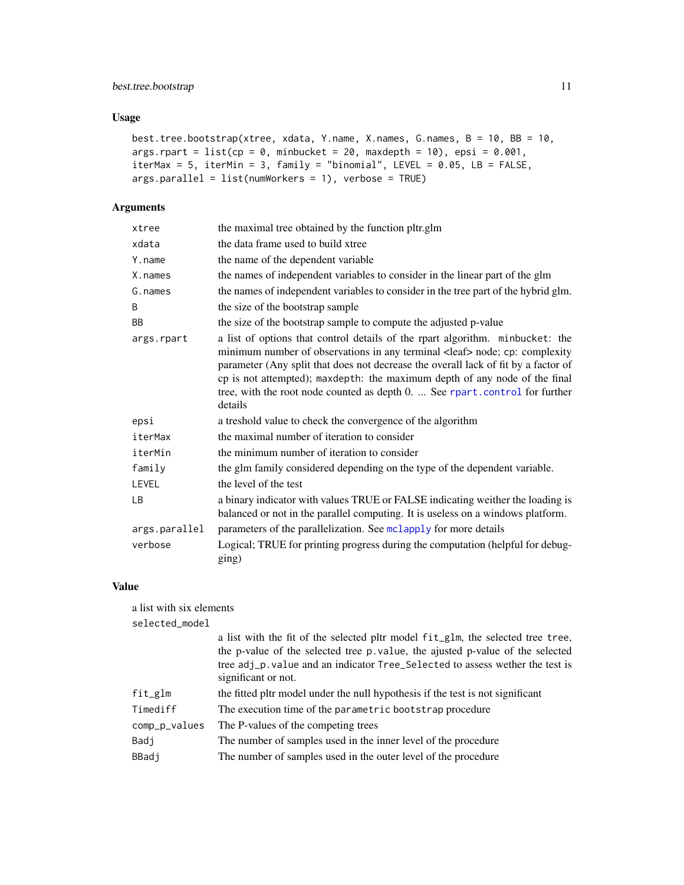## <span id="page-10-0"></span>Usage

```
best.tree.bootstrap(xtree, xdata, Y.name, X.names, G.names, B = 10, BB = 10,
args.rpart = list(cp = 0, minbucket = 20, maxdepth = 10), epsi = 0.001,iterMax = 5, iterMin = 3, family = "binomial", LEVEL = 0.05, LB = FALSE,
args.parallel = list(numWorkers = 1), verbose = TRUE)
```
## Arguments

| xtree         | the maximal tree obtained by the function pltr.glm                                                                                                                                                                                                                                                                                                                                                                                   |
|---------------|--------------------------------------------------------------------------------------------------------------------------------------------------------------------------------------------------------------------------------------------------------------------------------------------------------------------------------------------------------------------------------------------------------------------------------------|
| xdata         | the data frame used to build xtree                                                                                                                                                                                                                                                                                                                                                                                                   |
| Y.name        | the name of the dependent variable                                                                                                                                                                                                                                                                                                                                                                                                   |
| X.names       | the names of independent variables to consider in the linear part of the glm                                                                                                                                                                                                                                                                                                                                                         |
| G.names       | the names of independent variables to consider in the tree part of the hybrid glm.                                                                                                                                                                                                                                                                                                                                                   |
| B             | the size of the bootstrap sample                                                                                                                                                                                                                                                                                                                                                                                                     |
| BB            | the size of the bootstrap sample to compute the adjusted p-value                                                                                                                                                                                                                                                                                                                                                                     |
| args.rpart    | a list of options that control details of the rpart algorithm. minbucket: the<br>minimum number of observations in any terminal <leaf> node; cp: complexity<br/>parameter (Any split that does not decrease the overall lack of fit by a factor of<br/>cp is not attempted); maxdepth: the maximum depth of any node of the final<br/>tree, with the root node counted as depth 0.  See rpart.control for further<br/>details</leaf> |
| epsi          | a treshold value to check the convergence of the algorithm                                                                                                                                                                                                                                                                                                                                                                           |
| iterMax       | the maximal number of iteration to consider                                                                                                                                                                                                                                                                                                                                                                                          |
| iterMin       | the minimum number of iteration to consider                                                                                                                                                                                                                                                                                                                                                                                          |
| family        | the glm family considered depending on the type of the dependent variable.                                                                                                                                                                                                                                                                                                                                                           |
| LEVEL         | the level of the test                                                                                                                                                                                                                                                                                                                                                                                                                |
| LВ            | a binary indicator with values TRUE or FALSE indicating weither the loading is<br>balanced or not in the parallel computing. It is useless on a windows platform.                                                                                                                                                                                                                                                                    |
| args.parallel | parameters of the parallelization. See mclapply for more details                                                                                                                                                                                                                                                                                                                                                                     |
| verbose       | Logical; TRUE for printing progress during the computation (helpful for debug-<br>ging)                                                                                                                                                                                                                                                                                                                                              |

#### Value

| a list with six elements |                                                                                                                                                                                                                                                                          |
|--------------------------|--------------------------------------------------------------------------------------------------------------------------------------------------------------------------------------------------------------------------------------------------------------------------|
| selected_model           |                                                                                                                                                                                                                                                                          |
|                          | a list with the fit of the selected pltr model fit_glm, the selected tree tree,<br>the p-value of the selected tree p. value, the ajusted p-value of the selected<br>tree adj_p.value and an indicator Tree_Selected to assess wether the test is<br>significant or not. |
| fit_glm                  | the fitted pltr model under the null hypothesis if the test is not significant                                                                                                                                                                                           |
| Timediff                 | The execution time of the parametric bootstrap procedure                                                                                                                                                                                                                 |
| comp_p_values            | The P-values of the competing trees                                                                                                                                                                                                                                      |
| Badj                     | The number of samples used in the inner level of the procedure                                                                                                                                                                                                           |
| BBadj                    | The number of samples used in the outer level of the procedure                                                                                                                                                                                                           |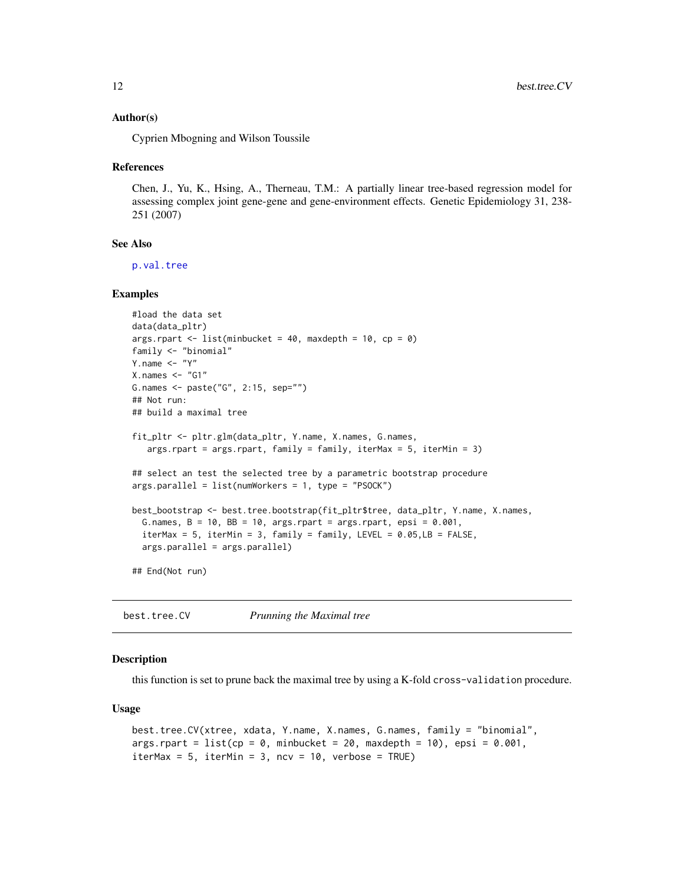#### <span id="page-11-0"></span>Author(s)

Cyprien Mbogning and Wilson Toussile

#### References

Chen, J., Yu, K., Hsing, A., Therneau, T.M.: A partially linear tree-based regression model for assessing complex joint gene-gene and gene-environment effects. Genetic Epidemiology 31, 238- 251 (2007)

#### See Also

[p.val.tree](#page-19-1)

#### Examples

```
#load the data set
data(data_pltr)
args.rpart \le list(minbucket = 40, maxdepth = 10, cp = 0)
family <- "binomial"
Y.name \leftarrow "Y"
X.nameS < - "G1"
G.names <- paste("G", 2:15, sep="")
## Not run:
## build a maximal tree
fit_pltr <- pltr.glm(data_pltr, Y.name, X.names, G.names,
   args.rpart = args.rpart, family = family, iterMax = 5, iterMin = 3)
## select an test the selected tree by a parametric bootstrap procedure
args.parallel = list(numWorkers = 1, type = "PSOCK")
best_bootstrap <- best.tree.bootstrap(fit_pltr$tree, data_pltr, Y.name, X.names,
  G.names, B = 10, BB = 10, args.print = args.runpart, epsi = 0.001,
  iterMax = 5, iterMin = 3, family = family, LEVEL = 0.05, LB = FALSE,
  args.parallel = args.parallel)
## End(Not run)
```
<span id="page-11-1"></span>best.tree.CV *Prunning the Maximal tree*

#### Description

this function is set to prune back the maximal tree by using a K-fold cross-validation procedure.

#### Usage

```
best.tree.CV(xtree, xdata, Y.name, X.names, G.names, family = "binomial",
args.rpart = list(cp = 0, minbucket = 20, maxdepth = 10), epsi = 0.001,
iterMax = 5, iterMin = 3, ncv = 10, verbose = TRUE)
```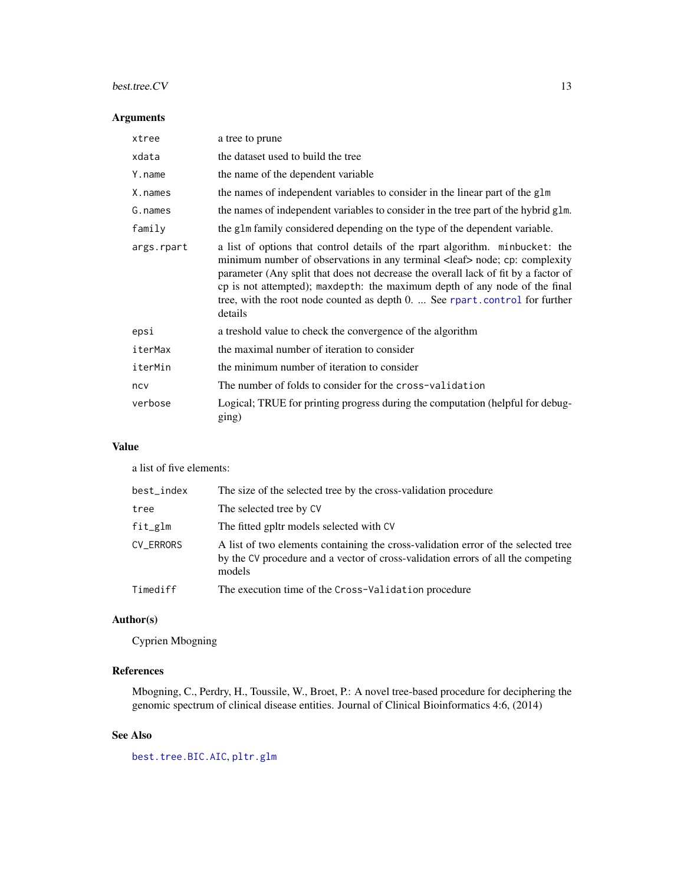## <span id="page-12-0"></span>best.tree.CV 13

## Arguments

| xtree      | a tree to prune                                                                                                                                                                                                                                                                                                                                                                                                                      |
|------------|--------------------------------------------------------------------------------------------------------------------------------------------------------------------------------------------------------------------------------------------------------------------------------------------------------------------------------------------------------------------------------------------------------------------------------------|
| xdata      | the dataset used to build the tree                                                                                                                                                                                                                                                                                                                                                                                                   |
| Y.name     | the name of the dependent variable                                                                                                                                                                                                                                                                                                                                                                                                   |
| X. names   | the names of independent variables to consider in the linear part of the glm                                                                                                                                                                                                                                                                                                                                                         |
| G.names    | the names of independent variables to consider in the tree part of the hybrid glm.                                                                                                                                                                                                                                                                                                                                                   |
| family     | the glm family considered depending on the type of the dependent variable.                                                                                                                                                                                                                                                                                                                                                           |
| args.rpart | a list of options that control details of the rpart algorithm. minbucket: the<br>minimum number of observations in any terminal <leaf> node; cp: complexity<br/>parameter (Any split that does not decrease the overall lack of fit by a factor of<br/>cp is not attempted); maxdepth: the maximum depth of any node of the final<br/>tree, with the root node counted as depth 0.  See rpart.control for further<br/>details</leaf> |
| epsi       | a treshold value to check the convergence of the algorithm                                                                                                                                                                                                                                                                                                                                                                           |
| iterMax    | the maximal number of iteration to consider                                                                                                                                                                                                                                                                                                                                                                                          |
| iterMin    | the minimum number of iteration to consider                                                                                                                                                                                                                                                                                                                                                                                          |
| ncy        | The number of folds to consider for the cross-validation                                                                                                                                                                                                                                                                                                                                                                             |
| verbose    | Logical; TRUE for printing progress during the computation (helpful for debug-<br>ging)                                                                                                                                                                                                                                                                                                                                              |

## Value

a list of five elements:

| best_index | The size of the selected tree by the cross-validation procedure                                                                                                                 |
|------------|---------------------------------------------------------------------------------------------------------------------------------------------------------------------------------|
| tree       | The selected tree by CV                                                                                                                                                         |
| fit_glm    | The fitted gpltr models selected with CV                                                                                                                                        |
| CV_ERRORS  | A list of two elements containing the cross-validation error of the selected tree<br>by the CV procedure and a vector of cross-validation errors of all the competing<br>models |
| Timediff   | The execution time of the Cross-Validation procedure                                                                                                                            |

## Author(s)

Cyprien Mbogning

## References

Mbogning, C., Perdry, H., Toussile, W., Broet, P.: A novel tree-based procedure for deciphering the genomic spectrum of clinical disease entities. Journal of Clinical Bioinformatics 4:6, (2014)

## See Also

[best.tree.BIC.AIC](#page-7-1), [pltr.glm](#page-21-1)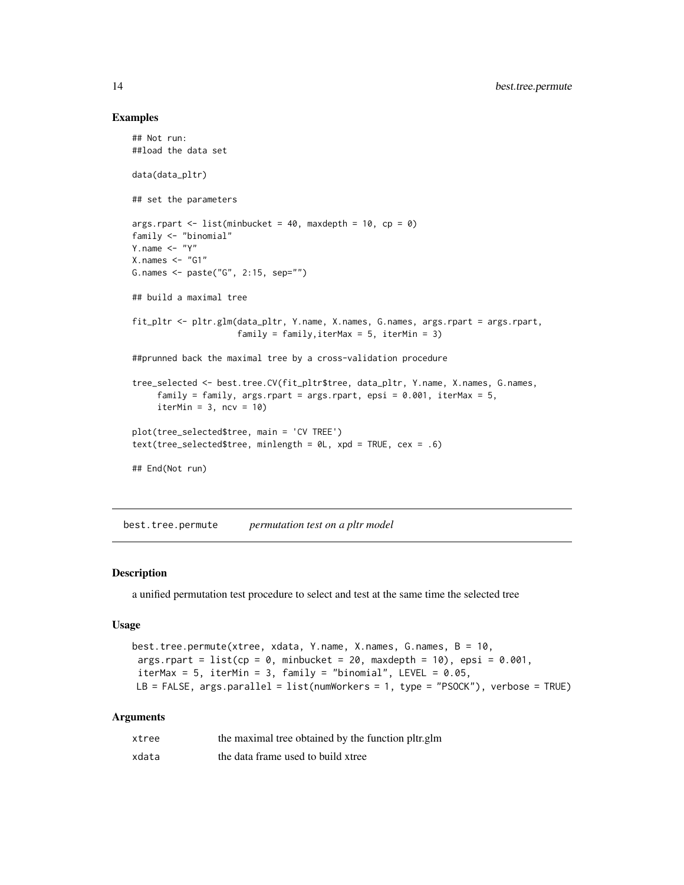#### Examples

```
## Not run:
##load the data set
data(data_pltr)
## set the parameters
args.rpart \le - list(minbucket = 40, maxdepth = 10, cp = 0)
family <- "binomial"
Y.name \leq - "Y"
X.nameS < - "G1"
G.names <- paste("G", 2:15, sep="")
## build a maximal tree
fit_pltr <- pltr.glm(data_pltr, Y.name, X.names, G.names, args.rpart = args.rpart,
                     family = family, iterMax = 5, iterMin = 3)
##prunned back the maximal tree by a cross-validation procedure
tree_selected <- best.tree.CV(fit_pltr$tree, data_pltr, Y.name, X.names, G.names,
     family = family, args.rpart = args.rpart, epsi = 0.001, iterMax = 5,
     iterMin = 3, ncv = 10)
plot(tree_selected$tree, main = 'CV TREE')
text(tree_selected$tree, minlength = 0L, xpd = TRUE, cex = .6)
## End(Not run)
```
<span id="page-13-1"></span>best.tree.permute *permutation test on a pltr model*

## Description

a unified permutation test procedure to select and test at the same time the selected tree

#### Usage

```
best.tree.permute(xtree, xdata, Y.name, X.names, G.names, B = 10,
args.rpart = list(op = 0, minbucket = 20, maxdepth = 10), epis = 0.001,iterMax = 5, iterMin = 3, family = "binomial", LEVEL = 0.05,
LB = FALSE, args.parallel = list(numWorkers = 1, type = "PSOCK"), verbose = TRUE)
```
#### Arguments

| xtree | the maximal tree obtained by the function pltr.glm |
|-------|----------------------------------------------------|
| xdata | the data frame used to build xtree                 |

<span id="page-13-0"></span>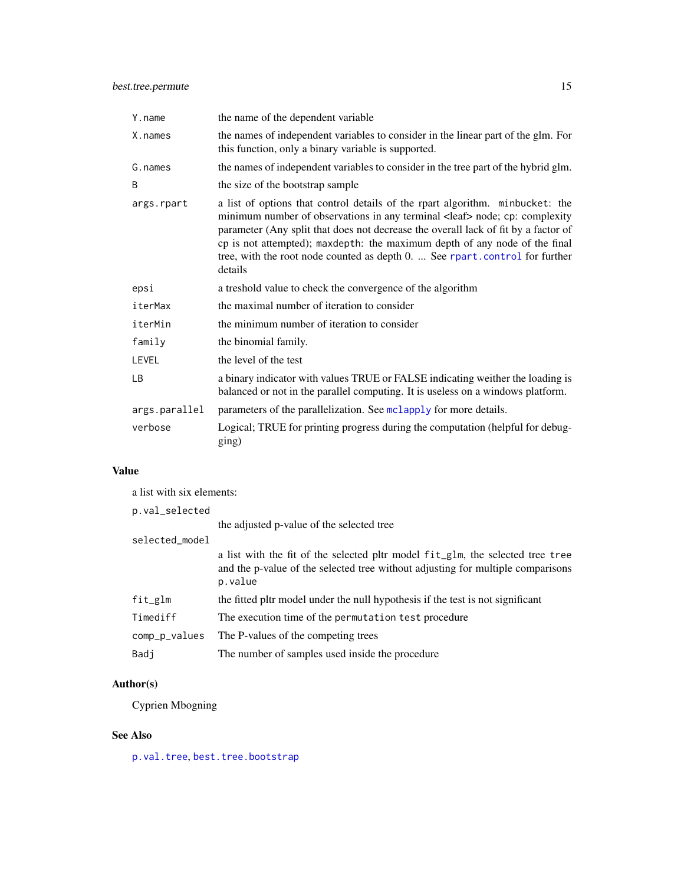<span id="page-14-0"></span>

| Y.name        | the name of the dependent variable                                                                                                                                                                                                                                                                                                                                                                                                   |
|---------------|--------------------------------------------------------------------------------------------------------------------------------------------------------------------------------------------------------------------------------------------------------------------------------------------------------------------------------------------------------------------------------------------------------------------------------------|
| X.names       | the names of independent variables to consider in the linear part of the glm. For<br>this function, only a binary variable is supported.                                                                                                                                                                                                                                                                                             |
| G.names       | the names of independent variables to consider in the tree part of the hybrid glm.                                                                                                                                                                                                                                                                                                                                                   |
| B             | the size of the bootstrap sample                                                                                                                                                                                                                                                                                                                                                                                                     |
| args.rpart    | a list of options that control details of the rpart algorithm. minbucket: the<br>minimum number of observations in any terminal <leaf> node; cp: complexity<br/>parameter (Any split that does not decrease the overall lack of fit by a factor of<br/>cp is not attempted); maxdepth: the maximum depth of any node of the final<br/>tree, with the root node counted as depth 0.  See rpart.control for further<br/>details</leaf> |
| epsi          | a treshold value to check the convergence of the algorithm                                                                                                                                                                                                                                                                                                                                                                           |
| iterMax       | the maximal number of iteration to consider                                                                                                                                                                                                                                                                                                                                                                                          |
| iterMin       | the minimum number of iteration to consider                                                                                                                                                                                                                                                                                                                                                                                          |
| family        | the binomial family.                                                                                                                                                                                                                                                                                                                                                                                                                 |
| LEVEL         | the level of the test                                                                                                                                                                                                                                                                                                                                                                                                                |
| LB            | a binary indicator with values TRUE or FALSE indicating weither the loading is<br>balanced or not in the parallel computing. It is useless on a windows platform.                                                                                                                                                                                                                                                                    |
| args.parallel | parameters of the parallelization. See mclapply for more details.                                                                                                                                                                                                                                                                                                                                                                    |
| verbose       | Logical; TRUE for printing progress during the computation (helpful for debug-<br>ging)                                                                                                                                                                                                                                                                                                                                              |

## Value

| a list with six elements: |                                                                                                                                                                              |
|---------------------------|------------------------------------------------------------------------------------------------------------------------------------------------------------------------------|
| p.val_selected            |                                                                                                                                                                              |
|                           | the adjusted p-value of the selected tree                                                                                                                                    |
| selected_model            |                                                                                                                                                                              |
|                           | a list with the fit of the selected pltr model fit_glm, the selected tree tree<br>and the p-value of the selected tree without adjusting for multiple comparisons<br>p.value |
| $fit\_glm$                | the fitted pltr model under the null hypothesis if the test is not significant                                                                                               |
| Timediff                  | The execution time of the permutation test procedure                                                                                                                         |
| comp_p_values             | The P-values of the competing trees                                                                                                                                          |
| Badj                      | The number of samples used inside the procedure                                                                                                                              |
|                           |                                                                                                                                                                              |

## Author(s)

Cyprien Mbogning

## See Also

[p.val.tree](#page-19-1), [best.tree.bootstrap](#page-9-1)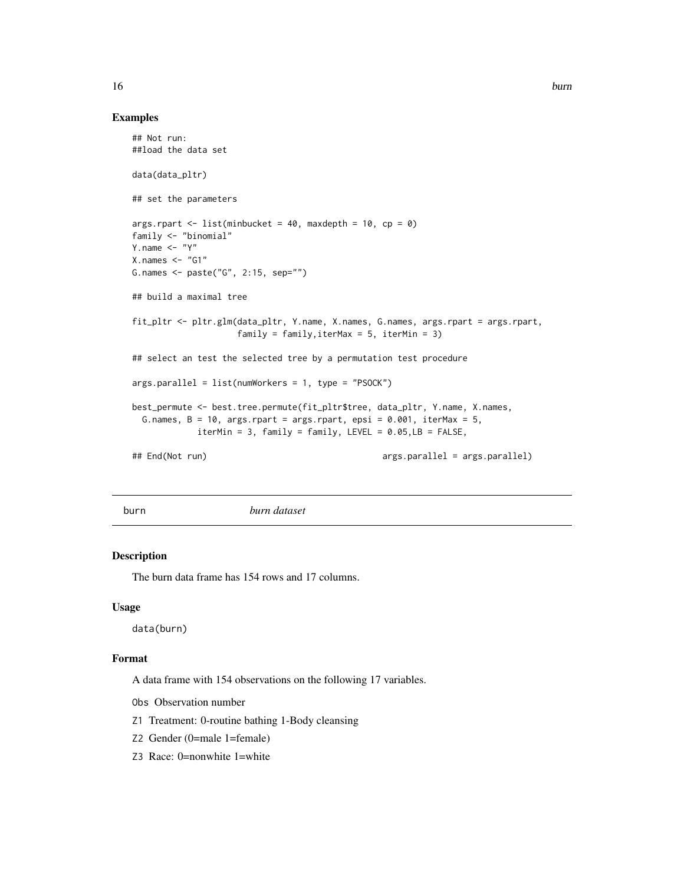#### Examples

```
## Not run:
##load the data set
data(data_pltr)
## set the parameters
args.rpart \le list(minbucket = 40, maxdepth = 10, cp = 0)
family <- "binomial"
Y.name \leq - "Y"
X.nameS < - "G1"
G.names <- paste("G", 2:15, sep="")
## build a maximal tree
fit_pltr <- pltr.glm(data_pltr, Y.name, X.names, G.names, args.rpart = args.rpart,
                    family = family, iterMax = 5, iterMin = 3)
## select an test the selected tree by a permutation test procedure
args.parallel = list(numWorkers = 1, type = "PSOCK")
best_permute <- best.tree.permute(fit_pltr$tree, data_pltr, Y.name, X.names,
 G.names, B = 10, args.rpart = args.rpart, epsi = 0.001, iterMax = 5,
            iterMin = 3, family = family, LEVEL = 0.05, LB = FALSE,
## End(Not run) args.parallel = args.parallel)
```
burn *burn dataset*

#### Description

The burn data frame has 154 rows and 17 columns.

#### Usage

data(burn)

## Format

A data frame with 154 observations on the following 17 variables.

Obs Observation number

- Z1 Treatment: 0-routine bathing 1-Body cleansing
- Z2 Gender (0=male 1=female)
- Z3 Race: 0=nonwhite 1=white

<span id="page-15-0"></span>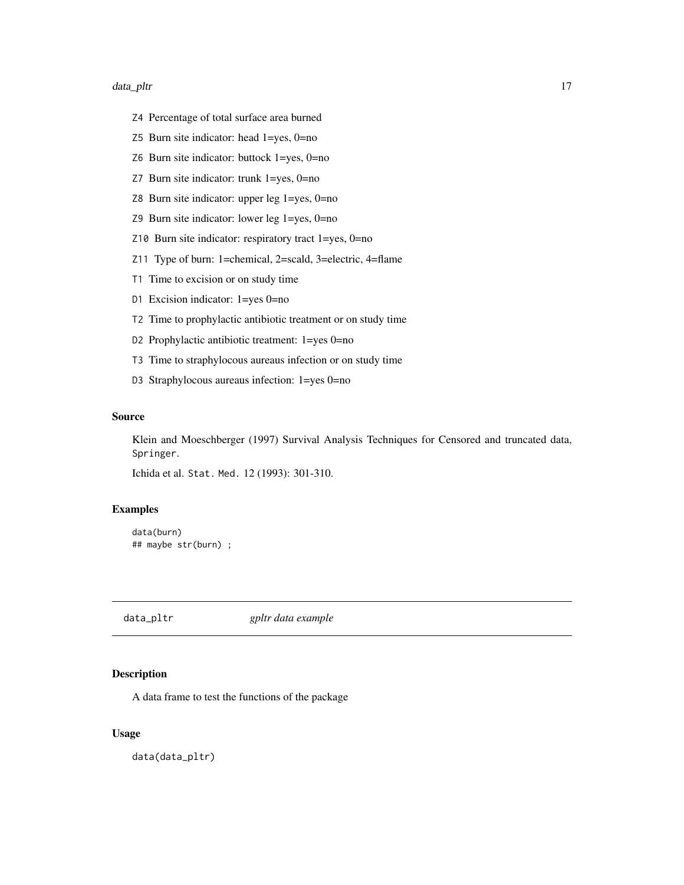#### <span id="page-16-0"></span>data\_pltr the control of the control of the control of the control of the control of the control of the control of the control of the control of the control of the control of the control of the control of the control of th

- Z4 Percentage of total surface area burned
- Z5 Burn site indicator: head 1=yes, 0=no
- Z6 Burn site indicator: buttock 1=yes, 0=no
- Z7 Burn site indicator: trunk 1=yes, 0=no
- Z8 Burn site indicator: upper leg 1=yes, 0=no
- Z9 Burn site indicator: lower leg 1=yes, 0=no
- Z10 Burn site indicator: respiratory tract 1=yes, 0=no
- Z11 Type of burn: 1=chemical, 2=scald, 3=electric, 4=flame
- T1 Time to excision or on study time
- D1 Excision indicator: 1=yes 0=no
- T2 Time to prophylactic antibiotic treatment or on study time
- D2 Prophylactic antibiotic treatment: 1=yes 0=no
- T3 Time to straphylocous aureaus infection or on study time
- D3 Straphylocous aureaus infection: 1=yes 0=no

#### Source

Klein and Moeschberger (1997) Survival Analysis Techniques for Censored and truncated data, Springer.

Ichida et al. Stat. Med. 12 (1993): 301-310.

## Examples

```
data(burn)
## maybe str(burn) ;
```
data\_pltr *gpltr data example*

#### Description

A data frame to test the functions of the package

### Usage

data(data\_pltr)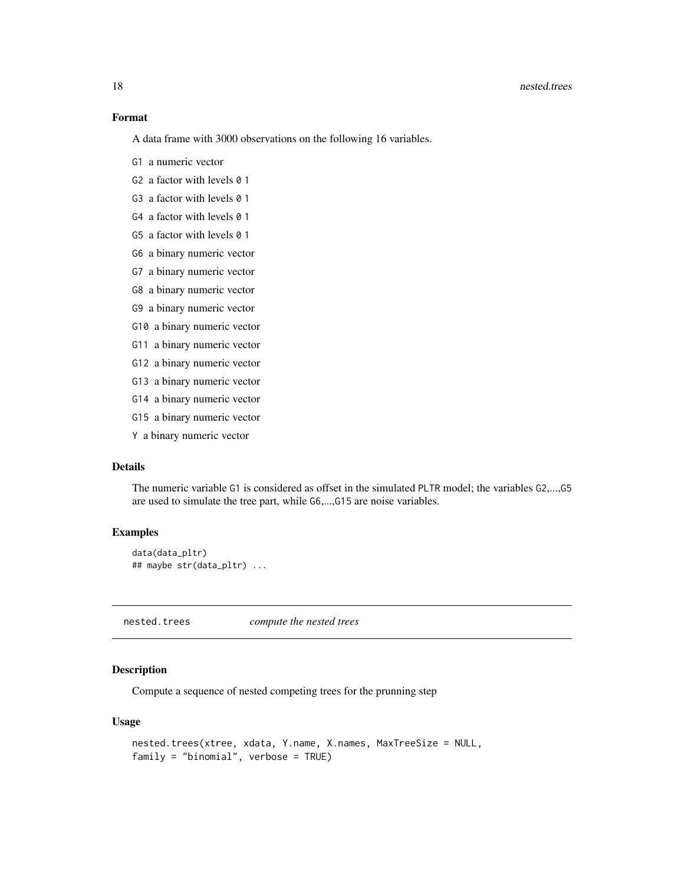#### Format

A data frame with 3000 observations on the following 16 variables.

- G1 a numeric vector
- G<sub>2</sub> a factor with levels  $\theta$  1
- G3 a factor with levels 0 1
- G4 a factor with levels 0 1
- G5 a factor with levels 0 1
- G6 a binary numeric vector
- G7 a binary numeric vector
- G8 a binary numeric vector
- G9 a binary numeric vector
- G10 a binary numeric vector
- G11 a binary numeric vector
- G12 a binary numeric vector
- G13 a binary numeric vector
- G14 a binary numeric vector
- G15 a binary numeric vector
- Y a binary numeric vector

## Details

The numeric variable G1 is considered as offset in the simulated PLTR model; the variables G2,...,G5 are used to simulate the tree part, while G6,...,G15 are noise variables.

#### Examples

```
data(data_pltr)
## maybe str(data_pltr) ...
```
nested.trees *compute the nested trees*

## Description

Compute a sequence of nested competing trees for the prunning step

#### Usage

```
nested.trees(xtree, xdata, Y.name, X.names, MaxTreeSize = NULL,
family = "binomial", verbose = TRUE)
```
<span id="page-17-0"></span>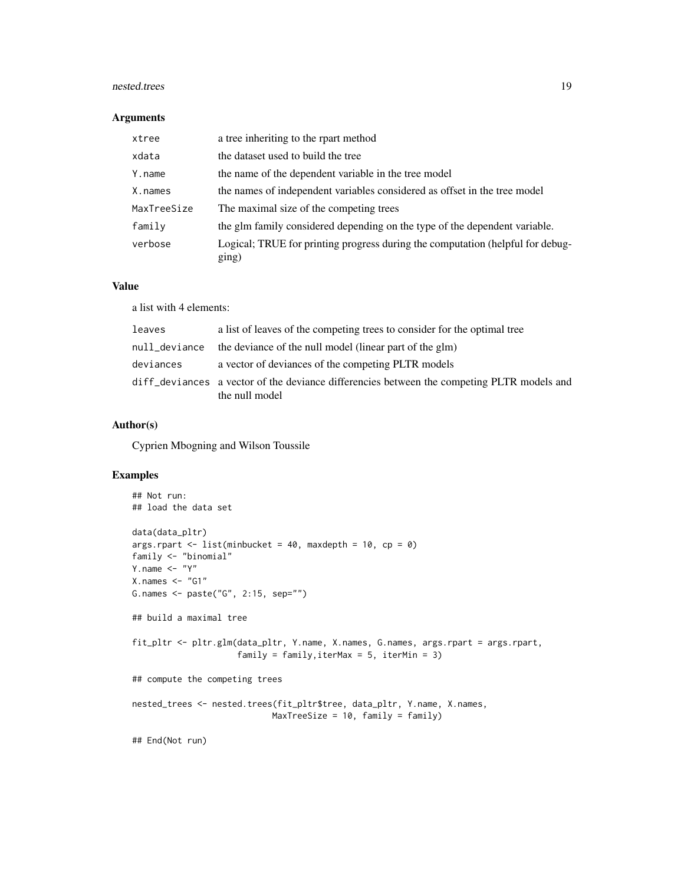#### nested.trees 19

#### Arguments

| xtree       | a tree inheriting to the rpart method                                                   |
|-------------|-----------------------------------------------------------------------------------------|
| xdata       | the dataset used to build the tree                                                      |
| Y.name      | the name of the dependent variable in the tree model                                    |
| X.names     | the names of independent variables considered as offset in the tree model               |
| MaxTreeSize | The maximal size of the competing trees                                                 |
| family      | the glm family considered depending on the type of the dependent variable.              |
| verbose     | Logical; TRUE for printing progress during the computation (helpful for debug-<br>ging) |

#### Value

a list with 4 elements:

| leaves        | a list of leaves of the competing trees to consider for the optimal tree                                     |
|---------------|--------------------------------------------------------------------------------------------------------------|
| null_deviance | the deviance of the null model (linear part of the glm)                                                      |
| deviances     | a vector of deviances of the competing PLTR models                                                           |
|               | diff deviances a vector of the deviance differencies between the competing PLTR models and<br>the null model |

## Author(s)

Cyprien Mbogning and Wilson Toussile

## Examples

```
## Not run:
## load the data set
data(data_pltr)
args.rpart <- list(minbucket = 40, maxdepth = 10, cp = 0)
family <- "binomial"
Y.name <- "Y"
X.nameS < - "G1"
G.names <- paste("G", 2:15, sep="")
## build a maximal tree
fit_pltr <- pltr.glm(data_pltr, Y.name, X.names, G.names, args.rpart = args.rpart,
                     family = family,iterMax = 5, iterMin = 3)
## compute the competing trees
nested_trees <- nested.trees(fit_pltr$tree, data_pltr, Y.name, X.names,
                            MaxTreeSize = 10, family = family)
## End(Not run)
```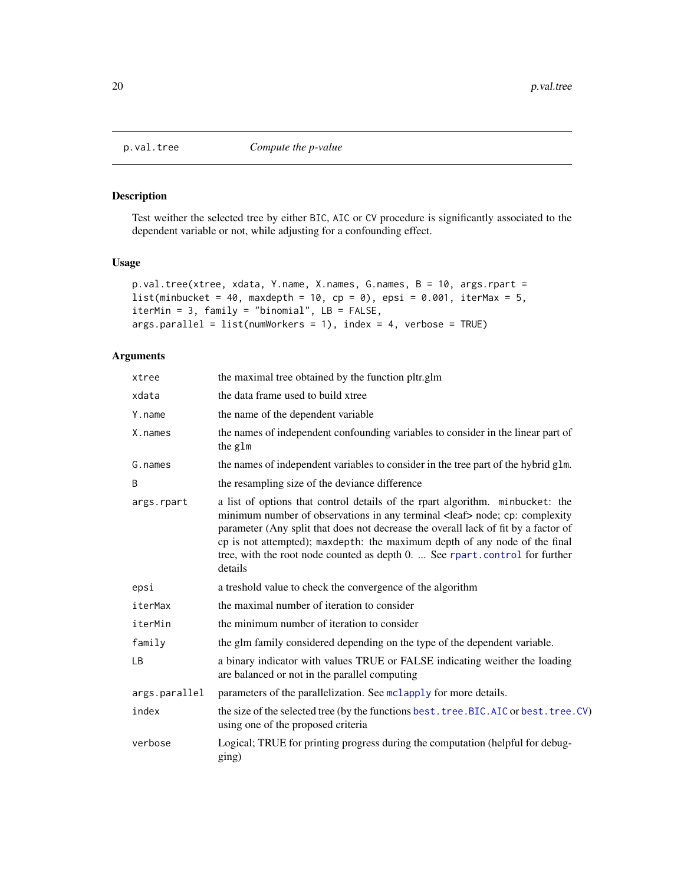## Description

Test weither the selected tree by either BIC, AIC or CV procedure is significantly associated to the dependent variable or not, while adjusting for a confounding effect.

#### Usage

```
p.val.tree(xtree, xdata, Y.name, X.names, G.names, B = 10, args.rpart =
list(minbucket = 40, maxdepth = 10, cp = 0), epsi = 0.001, iterMax = 5,
iterMin = 3, family = "binomial", LB = FALSE,
args.parallel = list(numWorkers = 1), index = 4, verbose = TRUE)
```
## Arguments

| xtree         | the maximal tree obtained by the function pltr.glm                                                                                                                                                                                                                                                                                                                                                                                   |
|---------------|--------------------------------------------------------------------------------------------------------------------------------------------------------------------------------------------------------------------------------------------------------------------------------------------------------------------------------------------------------------------------------------------------------------------------------------|
| xdata         | the data frame used to build xtree                                                                                                                                                                                                                                                                                                                                                                                                   |
| Y.name        | the name of the dependent variable                                                                                                                                                                                                                                                                                                                                                                                                   |
| X.names       | the names of independent confounding variables to consider in the linear part of<br>the glm                                                                                                                                                                                                                                                                                                                                          |
| G.names       | the names of independent variables to consider in the tree part of the hybrid glm.                                                                                                                                                                                                                                                                                                                                                   |
| B             | the resampling size of the deviance difference                                                                                                                                                                                                                                                                                                                                                                                       |
| args.rpart    | a list of options that control details of the rpart algorithm. minbucket: the<br>minimum number of observations in any terminal <leaf> node; cp: complexity<br/>parameter (Any split that does not decrease the overall lack of fit by a factor of<br/>cp is not attempted); maxdepth: the maximum depth of any node of the final<br/>tree, with the root node counted as depth 0.  See rpart.control for further<br/>details</leaf> |
| epsi          | a treshold value to check the convergence of the algorithm                                                                                                                                                                                                                                                                                                                                                                           |
| iterMax       | the maximal number of iteration to consider                                                                                                                                                                                                                                                                                                                                                                                          |
| iterMin       | the minimum number of iteration to consider                                                                                                                                                                                                                                                                                                                                                                                          |
| family        | the glm family considered depending on the type of the dependent variable.                                                                                                                                                                                                                                                                                                                                                           |
| LB            | a binary indicator with values TRUE or FALSE indicating weither the loading<br>are balanced or not in the parallel computing                                                                                                                                                                                                                                                                                                         |
| args.parallel | parameters of the parallelization. See mclapply for more details.                                                                                                                                                                                                                                                                                                                                                                    |
| index         | the size of the selected tree (by the functions best. tree. BIC. AIC or best. tree. CV)<br>using one of the proposed criteria                                                                                                                                                                                                                                                                                                        |
| verbose       | Logical; TRUE for printing progress during the computation (helpful for debug-<br>ging)                                                                                                                                                                                                                                                                                                                                              |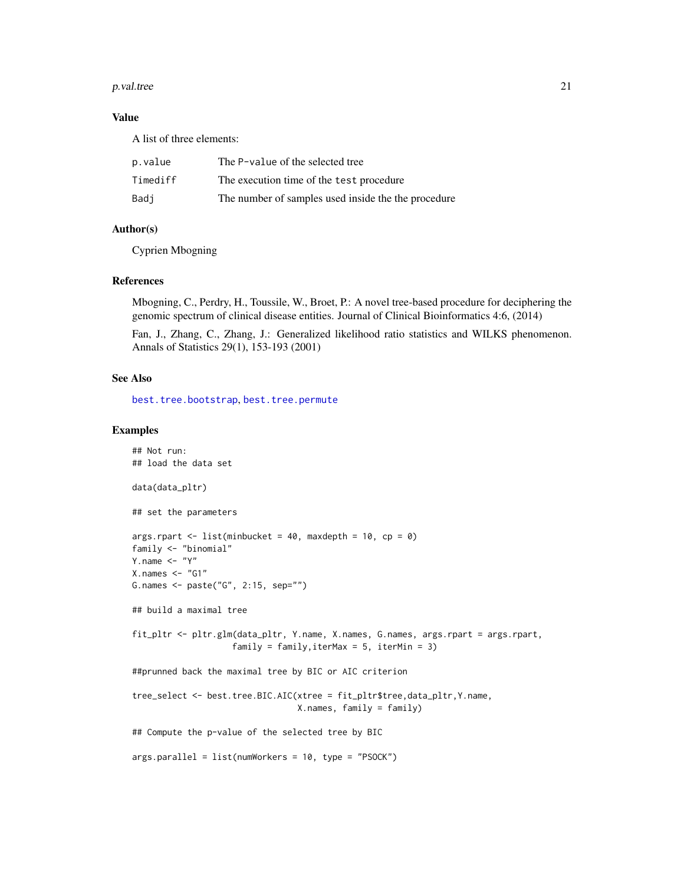#### <span id="page-20-0"></span>p. val. tree 21

## Value

A list of three elements:

| p.value  | The P-value of the selected tree                    |
|----------|-----------------------------------------------------|
| Timediff | The execution time of the test procedure            |
| Badi     | The number of samples used inside the the procedure |

#### Author(s)

Cyprien Mbogning

#### References

Mbogning, C., Perdry, H., Toussile, W., Broet, P.: A novel tree-based procedure for deciphering the genomic spectrum of clinical disease entities. Journal of Clinical Bioinformatics 4:6, (2014)

Fan, J., Zhang, C., Zhang, J.: Generalized likelihood ratio statistics and WILKS phenomenon. Annals of Statistics 29(1), 153-193 (2001)

#### See Also

[best.tree.bootstrap](#page-9-1), [best.tree.permute](#page-13-1)

## Examples

```
## Not run:
## load the data set
data(data_pltr)
## set the parameters
args.rpart \le - list(minbucket = 40, maxdepth = 10, cp = 0)
family <- "binomial"
Y.name \leq - "Y"
X.nameS < - "G1"
G.names <- paste("G", 2:15, sep="")
## build a maximal tree
fit_pltr <- pltr.glm(data_pltr, Y.name, X.names, G.names, args.rpart = args.rpart,
                    family = family,iterMax = 5, iterMin = 3)
##prunned back the maximal tree by BIC or AIC criterion
tree_select <- best.tree.BIC.AIC(xtree = fit_pltr$tree,data_pltr,Y.name,
                                 X.names, family = family)
## Compute the p-value of the selected tree by BIC
args.parallel = list(numWorkers = 10, type = "PSOCK")
```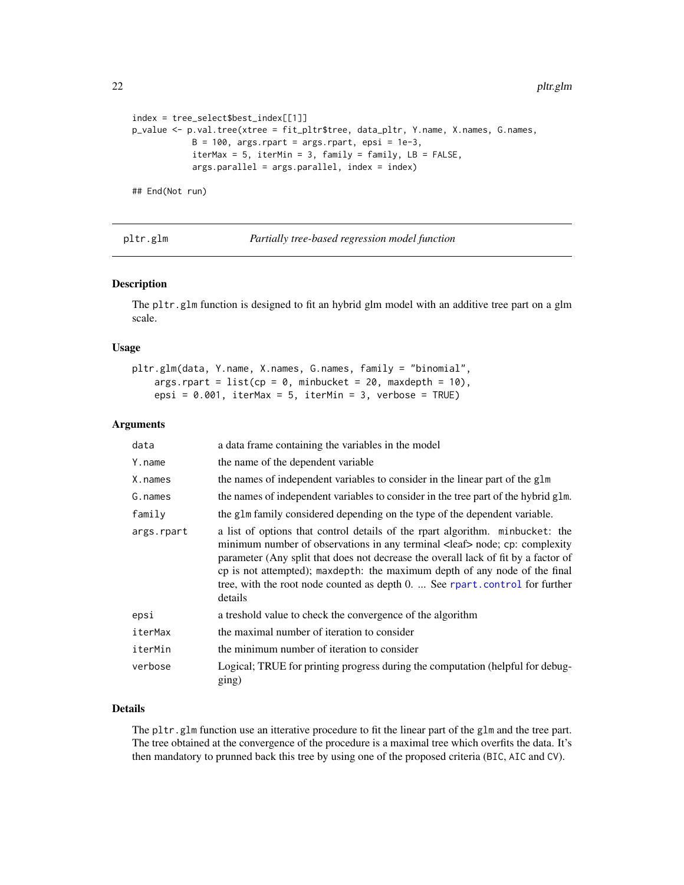22 pltr.glm

```
index = tree_select$best_index[[1]]
p_value <- p.val.tree(xtree = fit_pltr$tree, data_pltr, Y.name, X.names, G.names,
            B = 100, args.rpart = args.rpart, epsi = 1e-3,
            iterMax = 5, iterMin = 3, family = family, LB = FALSE,
            args.parallel = args.parallel, index = index)
```
## End(Not run)

<span id="page-21-1"></span>pltr.glm *Partially tree-based regression model function*

## Description

The pltr.glm function is designed to fit an hybrid glm model with an additive tree part on a glm scale.

#### Usage

```
pltr.glm(data, Y.name, X.names, G.names, family = "binomial",
   args.rpart = list(cp = 0, minbucket = 20, maxdepth = 10),epsi = 0.001, iterMax = 5, iterMin = 3, verbose = TRUE)
```
#### Arguments

| data       | a data frame containing the variables in the model                                                                                                                                                                                                                                                                                                                                                                                   |
|------------|--------------------------------------------------------------------------------------------------------------------------------------------------------------------------------------------------------------------------------------------------------------------------------------------------------------------------------------------------------------------------------------------------------------------------------------|
| Y.name     | the name of the dependent variable                                                                                                                                                                                                                                                                                                                                                                                                   |
| X.names    | the names of independent variables to consider in the linear part of the glm                                                                                                                                                                                                                                                                                                                                                         |
| G.names    | the names of independent variables to consider in the tree part of the hybrid glm.                                                                                                                                                                                                                                                                                                                                                   |
| family     | the glm family considered depending on the type of the dependent variable.                                                                                                                                                                                                                                                                                                                                                           |
| args.rpart | a list of options that control details of the rpart algorithm. minbucket: the<br>minimum number of observations in any terminal <leaf> node; cp: complexity<br/>parameter (Any split that does not decrease the overall lack of fit by a factor of<br/>cp is not attempted); maxdepth: the maximum depth of any node of the final<br/>tree, with the root node counted as depth 0.  See rpart.control for further<br/>details</leaf> |
| epsi       | a treshold value to check the convergence of the algorithm                                                                                                                                                                                                                                                                                                                                                                           |
| iterMax    | the maximal number of iteration to consider                                                                                                                                                                                                                                                                                                                                                                                          |
| iterMin    | the minimum number of iteration to consider                                                                                                                                                                                                                                                                                                                                                                                          |
| verbose    | Logical; TRUE for printing progress during the computation (helpful for debug-<br>ging)                                                                                                                                                                                                                                                                                                                                              |

## Details

The pltr.glm function use an itterative procedure to fit the linear part of the glm and the tree part. The tree obtained at the convergence of the procedure is a maximal tree which overfits the data. It's then mandatory to prunned back this tree by using one of the proposed criteria (BIC, AIC and CV).

<span id="page-21-0"></span>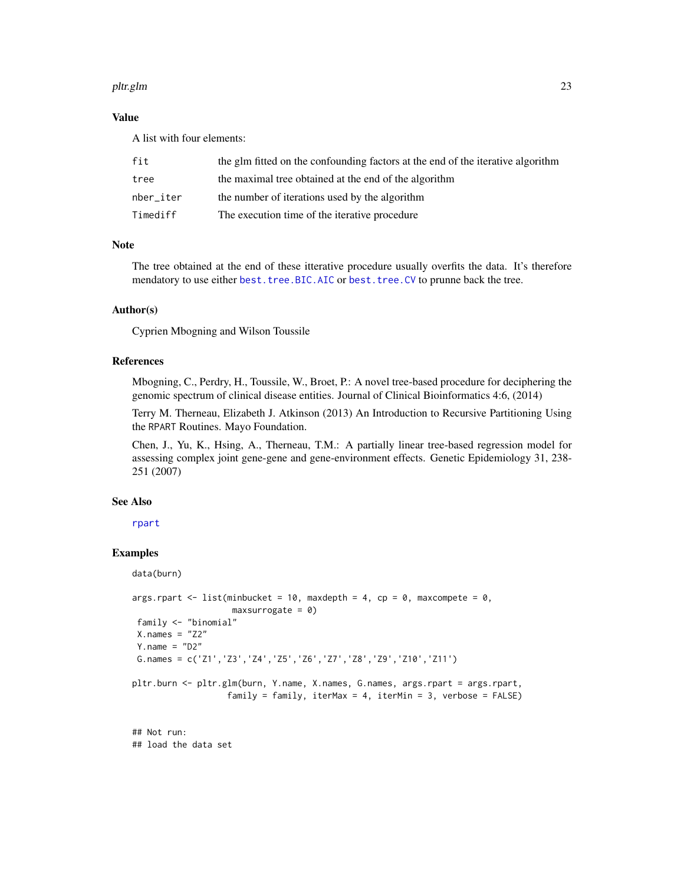#### <span id="page-22-0"></span>pltr.glm 23

## Value

A list with four elements:

| fit       | the glm fitted on the confounding factors at the end of the iterative algorithm |
|-----------|---------------------------------------------------------------------------------|
| tree      | the maximal tree obtained at the end of the algorithm                           |
| nber iter | the number of iterations used by the algorithm                                  |
| Timediff  | The execution time of the iterative procedure                                   |

## Note

The tree obtained at the end of these itterative procedure usually overfits the data. It's therefore mendatory to use either [best.tree.BIC.AIC](#page-7-1) or [best.tree.CV](#page-11-1) to prunne back the tree.

#### Author(s)

Cyprien Mbogning and Wilson Toussile

#### References

Mbogning, C., Perdry, H., Toussile, W., Broet, P.: A novel tree-based procedure for deciphering the genomic spectrum of clinical disease entities. Journal of Clinical Bioinformatics 4:6, (2014)

Terry M. Therneau, Elizabeth J. Atkinson (2013) An Introduction to Recursive Partitioning Using the RPART Routines. Mayo Foundation.

Chen, J., Yu, K., Hsing, A., Therneau, T.M.: A partially linear tree-based regression model for assessing complex joint gene-gene and gene-environment effects. Genetic Epidemiology 31, 238- 251 (2007)

#### See Also

[rpart](#page-0-0)

## Examples

data(burn)

```
args.rpart < -list(minbucket = 10, maxdepth = 4, cp = 0, maxcomplete = 0,maxsurrogate = 0)family <- "binomial"
X.nameS = "Z2"Y.name = "D2"G.names = c('Z1','Z3','Z4','Z5','Z6','Z7','Z8','Z9','Z10','Z11')
pltr.burn <- pltr.glm(burn, Y.name, X.names, G.names, args.rpart = args.rpart,
                  family = family, iterMax = 4, iterMin = 3, verbose = FALSE)
```
## Not run: ## load the data set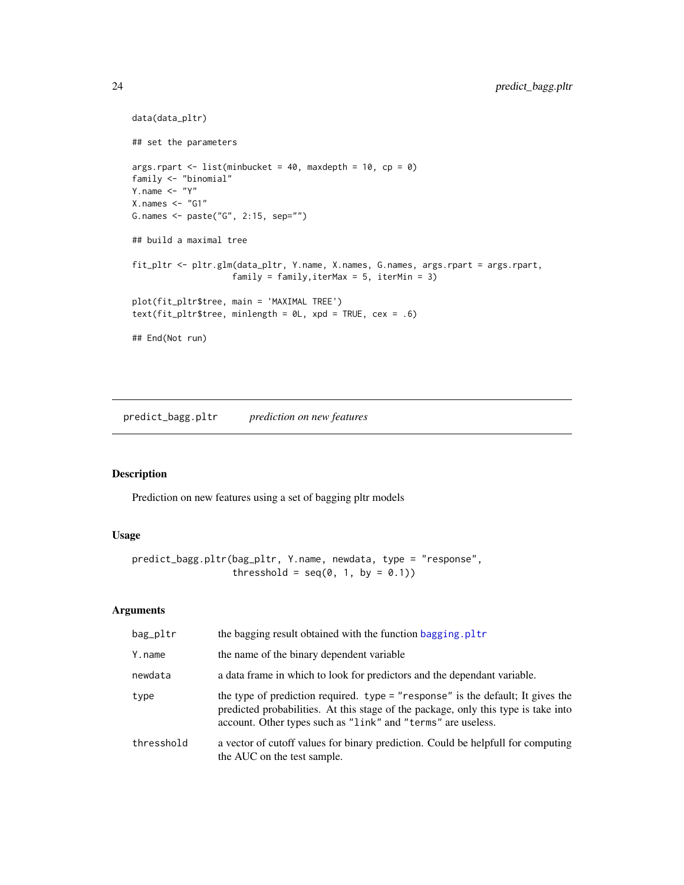```
data(data_pltr)
## set the parameters
args.rpart \le list(minbucket = 40, maxdepth = 10, cp = 0)
family <- "binomial"
Y.name <- "Y"
X.names < - "G1"
G.names <- paste("G", 2:15, sep="")
## build a maximal tree
fit_pltr <- pltr.glm(data_pltr, Y.name, X.names, G.names, args.rpart = args.rpart,
                    family = family,iterMax = 5, iterMin = 3)
plot(fit_pltr$tree, main = 'MAXIMAL TREE')
text(fit_pltr$tree, minlength = 0L, xpd = TRUE, cex = .6)
## End(Not run)
```
<span id="page-23-1"></span>predict\_bagg.pltr *prediction on new features*

## Description

Prediction on new features using a set of bagging pltr models

## Usage

```
predict_bagg.pltr(bag_pltr, Y.name, newdata, type = "response",
                  thresshold = seq(0, 1, by = 0.1)
```
## Arguments

| bag_pltr   | the bagging result obtained with the function bagging. pltr                                                                                                                                                                           |
|------------|---------------------------------------------------------------------------------------------------------------------------------------------------------------------------------------------------------------------------------------|
| Y.name     | the name of the binary dependent variable                                                                                                                                                                                             |
| newdata    | a data frame in which to look for predictors and the dependant variable.                                                                                                                                                              |
| type       | the type of prediction required. type = "response" is the default; It gives the<br>predicted probabilities. At this stage of the package, only this type is take into<br>account. Other types such as "link" and "terms" are useless. |
| thresshold | a vector of cutoff values for binary prediction. Could be helpfull for computing<br>the AUC on the test sample.                                                                                                                       |

<span id="page-23-0"></span>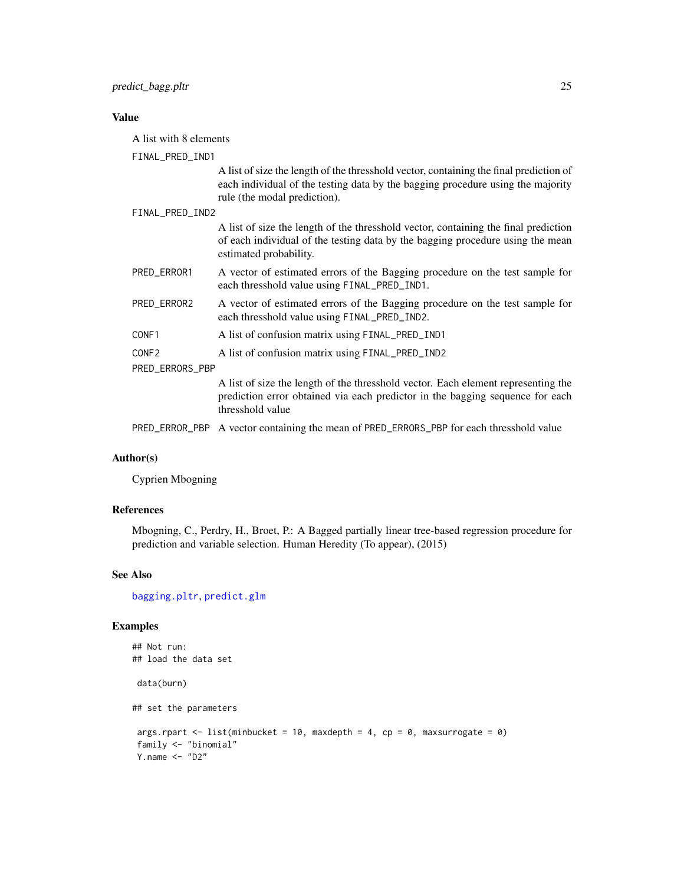## <span id="page-24-0"></span>Value

A list with 8 elements

FINAL\_PRED\_IND1

A list of size the length of the thresshold vector, containing the final prediction of each individual of the testing data by the bagging procedure using the majority rule (the modal prediction).

FINAL\_PRED\_IND2

A list of size the length of the thresshold vector, containing the final prediction of each individual of the testing data by the bagging procedure using the mean estimated probability.

- PRED\_ERROR1 A vector of estimated errors of the Bagging procedure on the test sample for each thresshold value using FINAL\_PRED\_IND1.
- PRED\_ERROR2 A vector of estimated errors of the Bagging procedure on the test sample for each thresshold value using FINAL\_PRED\_IND2.
- CONF1 A list of confusion matrix using FINAL\_PRED\_IND1

| CONF2 |  |  | A list of confusion matrix using FINAL_PRED_IND2 |  |  |  |
|-------|--|--|--------------------------------------------------|--|--|--|
|-------|--|--|--------------------------------------------------|--|--|--|

PRED\_ERRORS\_PBP

A list of size the length of the thresshold vector. Each element representing the prediction error obtained via each predictor in the bagging sequence for each thresshold value

PRED\_ERROR\_PBP A vector containing the mean of PRED\_ERRORS\_PBP for each thresshold value

## Author(s)

Cyprien Mbogning

#### References

Mbogning, C., Perdry, H., Broet, P.: A Bagged partially linear tree-based regression procedure for prediction and variable selection. Human Heredity (To appear), (2015)

#### See Also

[bagging.pltr](#page-5-1), [predict.glm](#page-0-0)

#### Examples

```
## Not run:
## load the data set
data(burn)
## set the parameters
args.rpart <- list(minbucket = 10, maxdepth = 4, cp = 0, maxsurrogate = 0)
family <- "binomial"
Y.name <- "D2"
```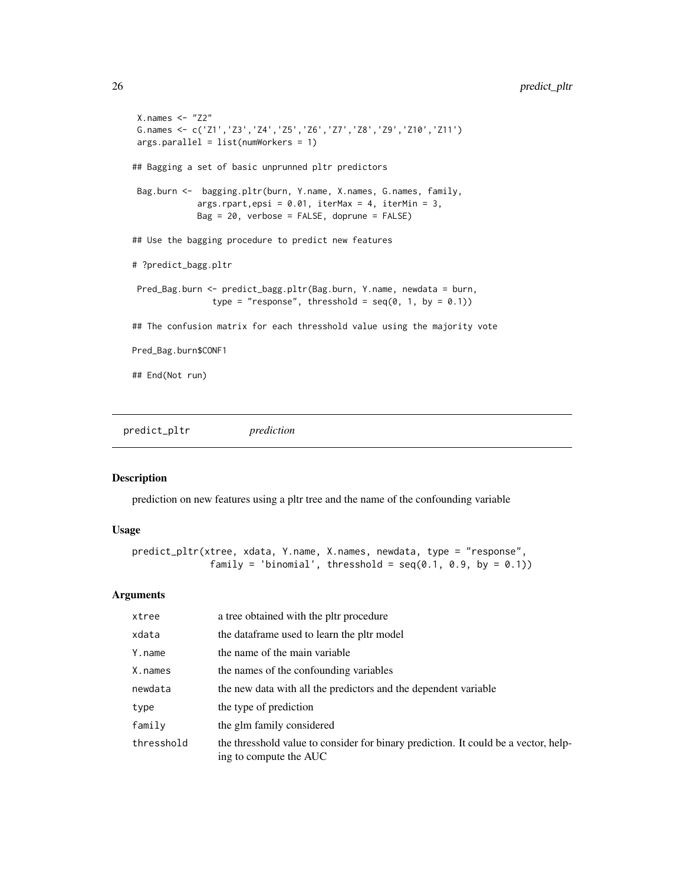```
X.names < - "Z2"
G.names <- c('Z1','Z3','Z4','Z5','Z6','Z7','Z8','Z9','Z10','Z11')
args.parallel = list(numWorkers = 1)
## Bagging a set of basic unprunned pltr predictors
Bag.burn <- bagging.pltr(burn, Y.name, X.names, G.names, family,
             args.rpart,epsi = 0.01, iterMax = 4, iterMin = 3,
            Bag = 20, verbose = FALSE, doprune = FALSE)
## Use the bagging procedure to predict new features
# ?predict_bagg.pltr
Pred_Bag.burn <- predict_bagg.pltr(Bag.burn, Y.name, newdata = burn,
                type = "response", thresshold = seq(0, 1, by = 0.1))
## The confusion matrix for each thresshold value using the majority vote
Pred_Bag.burn$CONF1
## End(Not run)
```
predict\_pltr *prediction*

## Description

prediction on new features using a pltr tree and the name of the confounding variable

## Usage

```
predict_pltr(xtree, xdata, Y.name, X.names, newdata, type = "response",
              family = 'binomial', thresshold = seq(0.1, 0.9, by = 0.1))
```
#### **Arguments**

| xtree      | a tree obtained with the pltr procedure                                                                       |
|------------|---------------------------------------------------------------------------------------------------------------|
| xdata      | the dataframe used to learn the pltr model                                                                    |
| Y.name     | the name of the main variable                                                                                 |
| X.names    | the names of the confounding variables                                                                        |
| newdata    | the new data with all the predictors and the dependent variable                                               |
| type       | the type of prediction                                                                                        |
| family     | the glm family considered                                                                                     |
| thresshold | the thresshold value to consider for binary prediction. It could be a vector, help-<br>ing to compute the AUC |

<span id="page-25-0"></span>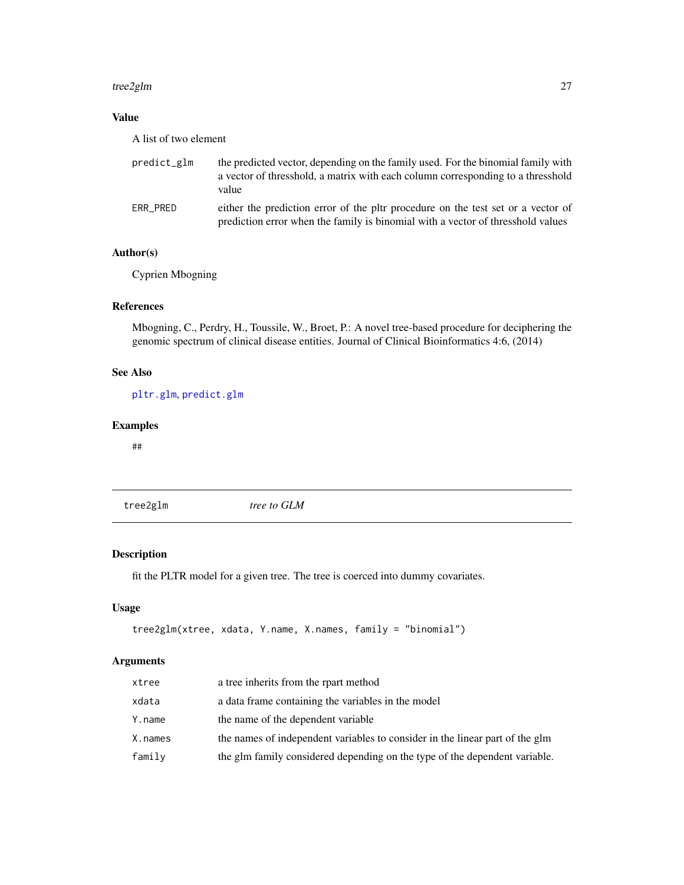#### <span id="page-26-0"></span>tree2glm 27

## Value

A list of two element

| predict_glm | the predicted vector, depending on the family used. For the binomial family with<br>a vector of thresshold, a matrix with each column corresponding to a thresshold<br>value |
|-------------|------------------------------------------------------------------------------------------------------------------------------------------------------------------------------|
| ERR PRED    | either the prediction error of the pltr procedure on the test set or a vector of<br>prediction error when the family is binomial with a vector of thresshold values          |

## Author(s)

Cyprien Mbogning

## References

Mbogning, C., Perdry, H., Toussile, W., Broet, P.: A novel tree-based procedure for deciphering the genomic spectrum of clinical disease entities. Journal of Clinical Bioinformatics 4:6, (2014)

## See Also

[pltr.glm](#page-21-1), [predict.glm](#page-0-0)

## Examples

##

tree2glm *tree to GLM*

## Description

fit the PLTR model for a given tree. The tree is coerced into dummy covariates.

## Usage

```
tree2glm(xtree, xdata, Y.name, X.names, family = "binomial")
```
## Arguments

| xtree   | a tree inherits from the rpart method                                        |
|---------|------------------------------------------------------------------------------|
| xdata   | a data frame containing the variables in the model                           |
| Y.name  | the name of the dependent variable                                           |
| X.names | the names of independent variables to consider in the linear part of the glm |
| family  | the glm family considered depending on the type of the dependent variable.   |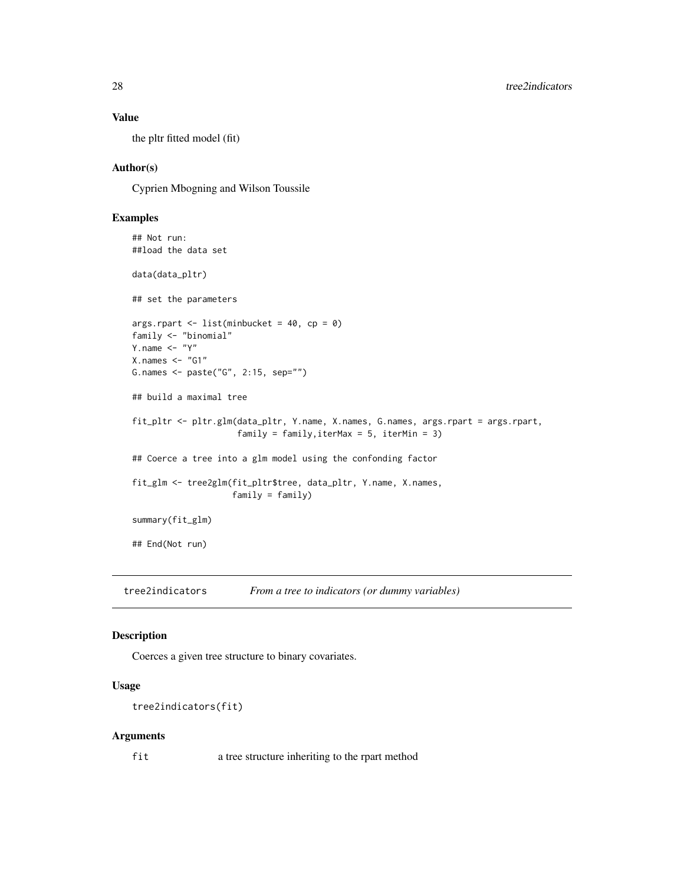### Value

the pltr fitted model (fit)

## Author(s)

Cyprien Mbogning and Wilson Toussile

## Examples

```
## Not run:
##load the data set
data(data_pltr)
## set the parameters
args.rpart <- list(minbucket = 40, cp = 0)
family <- "binomial"
Y.name \leftarrow "Y"
X.nameS < - "G1"
G.names <- paste("G", 2:15, sep="")
## build a maximal tree
fit_pltr <- pltr.glm(data_pltr, Y.name, X.names, G.names, args.rpart = args.rpart,
                     family = family, iterMax = 5, iterMin = 3)
## Coerce a tree into a glm model using the confonding factor
fit_glm <- tree2glm(fit_pltr$tree, data_pltr, Y.name, X.names,
                    family = family)
summary(fit_glm)
## End(Not run)
```
tree2indicators *From a tree to indicators (or dummy variables)*

### Description

Coerces a given tree structure to binary covariates.

#### Usage

```
tree2indicators(fit)
```
#### Arguments

fit a tree structure inheriting to the rpart method

<span id="page-27-0"></span>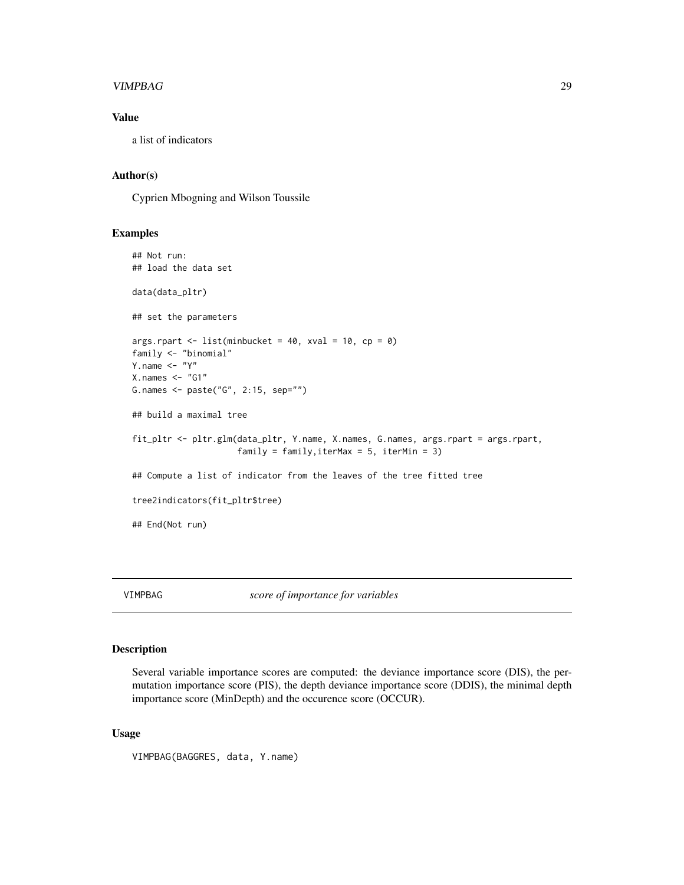#### <span id="page-28-0"></span>VIMPBAG 29

## Value

a list of indicators

#### Author(s)

Cyprien Mbogning and Wilson Toussile

## Examples

```
## Not run:
## load the data set
data(data_pltr)
## set the parameters
args.rpart <- list(minbucket = 40, xval = 10, cp = 0)
family <- "binomial"
Y.name <- "Y"
X.nameS < - "G1"
G.names <- paste("G", 2:15, sep="")
## build a maximal tree
fit_pltr <- pltr.glm(data_pltr, Y.name, X.names, G.names, args.rpart = args.rpart,
                     family = family, iterMax = 5, iterMin = 3)
## Compute a list of indicator from the leaves of the tree fitted tree
tree2indicators(fit_pltr$tree)
## End(Not run)
```
VIMPBAG *score of importance for variables*

#### Description

Several variable importance scores are computed: the deviance importance score (DIS), the permutation importance score (PIS), the depth deviance importance score (DDIS), the minimal depth importance score (MinDepth) and the occurence score (OCCUR).

#### Usage

```
VIMPBAG(BAGGRES, data, Y.name)
```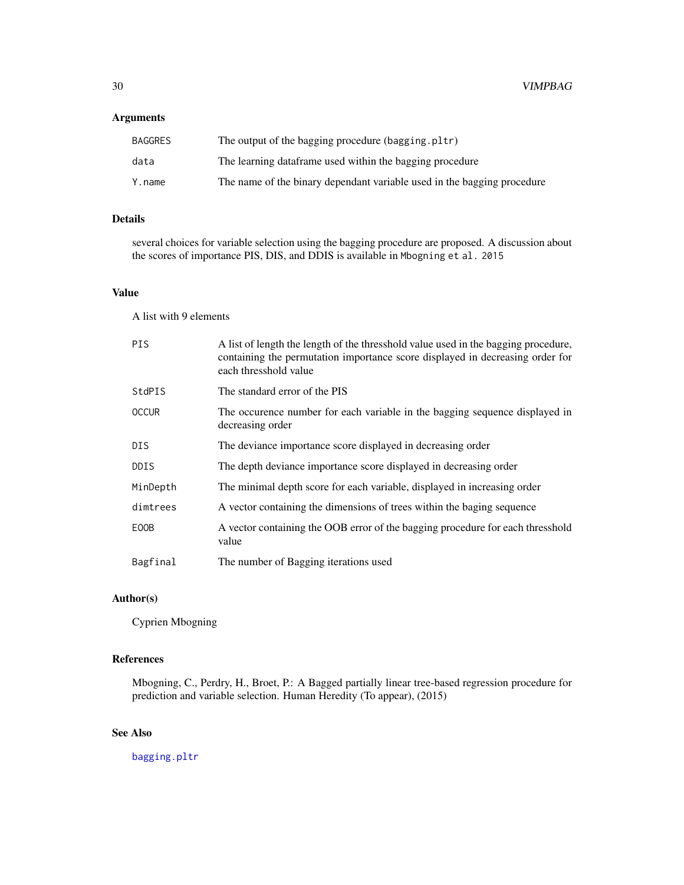## <span id="page-29-0"></span>Arguments

| <b>BAGGRES</b> | The output of the bagging procedure (bagging.pltr)                      |
|----------------|-------------------------------------------------------------------------|
| data           | The learning dataframe used within the bagging procedure                |
| Y.name         | The name of the binary dependant variable used in the bagging procedure |

## Details

several choices for variable selection using the bagging procedure are proposed. A discussion about the scores of importance PIS, DIS, and DDIS is available in Mbogning et al. 2015

## Value

A list with 9 elements

| <b>PIS</b>   | A list of length the length of the thresshold value used in the bagging procedure,<br>containing the permutation importance score displayed in decreasing order for<br>each thresshold value |
|--------------|----------------------------------------------------------------------------------------------------------------------------------------------------------------------------------------------|
| StdPIS       | The standard error of the PIS                                                                                                                                                                |
| <b>OCCUR</b> | The occurence number for each variable in the bagging sequence displayed in<br>decreasing order                                                                                              |
| DIS.         | The deviance importance score displayed in decreasing order                                                                                                                                  |
| <b>DDIS</b>  | The depth deviance importance score displayed in decreasing order                                                                                                                            |
| MinDepth     | The minimal depth score for each variable, displayed in increasing order                                                                                                                     |
| dimtrees     | A vector containing the dimensions of trees within the baging sequence                                                                                                                       |
| E00B         | A vector containing the OOB error of the bagging procedure for each thresshold<br>value                                                                                                      |
| Bagfinal     | The number of Bagging iterations used                                                                                                                                                        |

## Author(s)

Cyprien Mbogning

## References

Mbogning, C., Perdry, H., Broet, P.: A Bagged partially linear tree-based regression procedure for prediction and variable selection. Human Heredity (To appear), (2015)

## See Also

[bagging.pltr](#page-5-1)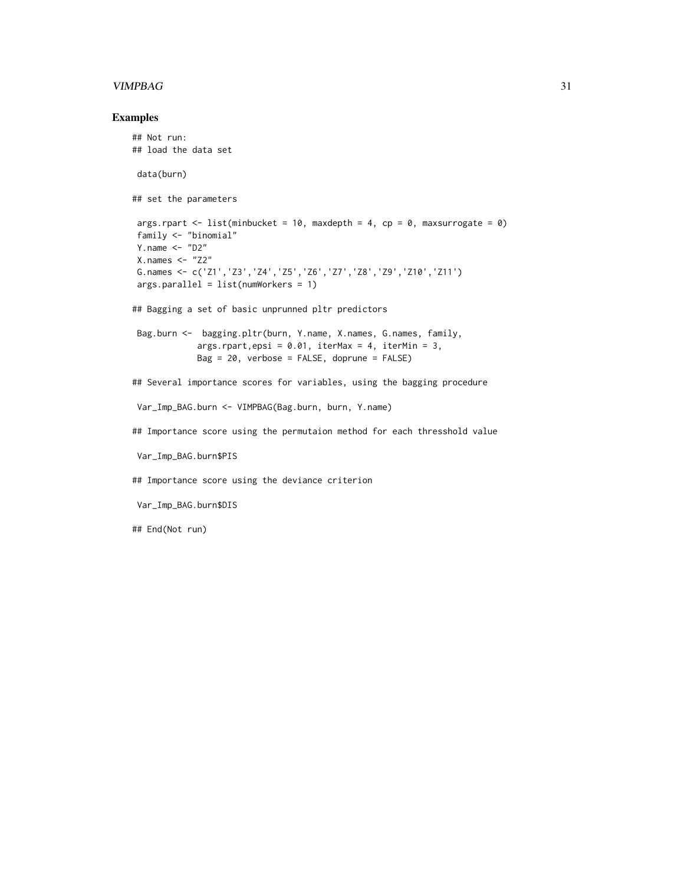#### VIMPBAG 31

#### Examples

```
## Not run:
## load the data set
data(burn)
## set the parameters
args.rpart <- list(minbucket = 10, maxdepth = 4, cp = 0, maxsurrogate = 0)
family <- "binomial"
Y.name <- "D2"
X.names <- "Z2"
G.names <- c('Z1','Z3','Z4','Z5','Z6','Z7','Z8','Z9','Z10','Z11')
args.parallel = list(numWorkers = 1)
## Bagging a set of basic unprunned pltr predictors
Bag.burn <- bagging.pltr(burn, Y.name, X.names, G.names, family,
            args.rpart,epsi = 0.01, iterMax = 4, iterMin = 3,
            Bag = 20, verbose = FALSE, doprune = FALSE)
## Several importance scores for variables, using the bagging procedure
Var_Imp_BAG.burn <- VIMPBAG(Bag.burn, burn, Y.name)
## Importance score using the permutaion method for each thresshold value
Var_Imp_BAG.burn$PIS
## Importance score using the deviance criterion
Var_Imp_BAG.burn$DIS
## End(Not run)
```